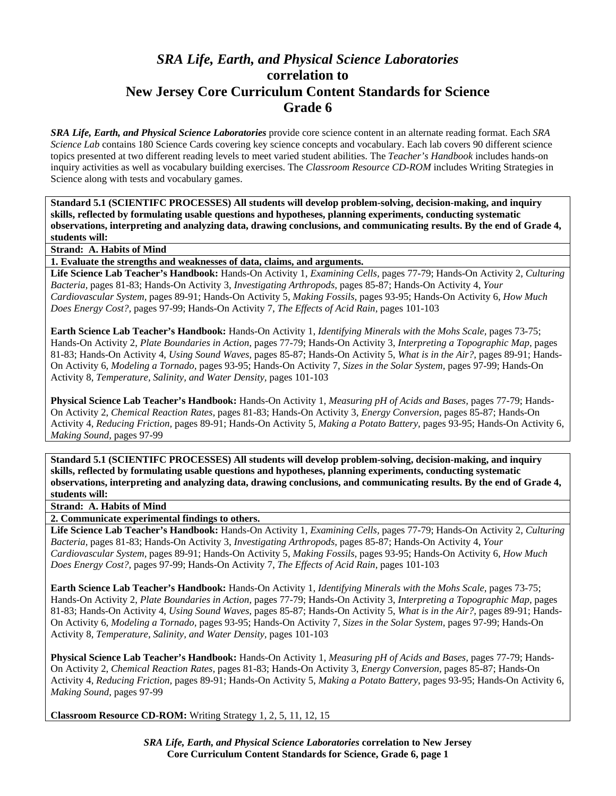## *SRA Life, Earth, and Physical Science Laboratories*  **correlation to New Jersey Core Curriculum Content Standards for Science Grade 6**

*SRA Life, Earth, and Physical Science Laboratories* provide core science content in an alternate reading format. Each *SRA Science Lab* contains 180 Science Cards covering key science concepts and vocabulary. Each lab covers 90 different science topics presented at two different reading levels to meet varied student abilities. The *Teacher's Handbook* includes hands-on inquiry activities as well as vocabulary building exercises. The *Classroom Resource CD-ROM* includes Writing Strategies in Science along with tests and vocabulary games.

**Standard 5.1 (SCIENTIFC PROCESSES) All students will develop problem-solving, decision-making, and inquiry skills, reflected by formulating usable questions and hypotheses, planning experiments, conducting systematic observations, interpreting and analyzing data, drawing conclusions, and communicating results. By the end of Grade 4, students will:** 

**Strand: A. Habits of Mind** 

**1. Evaluate the strengths and weaknesses of data, claims, and arguments.** 

**Life Science Lab Teacher's Handbook:** Hands-On Activity 1, *Examining Cells,* pages 77-79; Hands-On Activity 2, *Culturing Bacteria,* pages 81-83; Hands-On Activity 3, *Investigating Arthropods,* pages 85-87; Hands-On Activity 4, *Your Cardiovascular System,* pages 89-91; Hands-On Activity 5, *Making Fossils,* pages 93-95; Hands-On Activity 6, *How Much Does Energy Cost?,* pages 97-99; Hands-On Activity 7, *The Effects of Acid Rain,* pages 101-103

**Earth Science Lab Teacher's Handbook:** Hands-On Activity 1, *Identifying Minerals with the Mohs Scale,* pages 73-75; Hands-On Activity 2, *Plate Boundaries in Action,* pages 77-79; Hands-On Activity 3, *Interpreting a Topographic Map,* pages 81-83; Hands-On Activity 4, *Using Sound Waves,* pages 85-87; Hands-On Activity 5, *What is in the Air?,* pages 89-91; Hands-On Activity 6, *Modeling a Tornado,* pages 93-95; Hands-On Activity 7, *Sizes in the Solar System,* pages 97-99; Hands-On Activity 8, *Temperature, Salinity, and Water Density,* pages 101-103

**Physical Science Lab Teacher's Handbook:** Hands-On Activity 1, *Measuring pH of Acids and Bases,* pages 77-79; Hands-On Activity 2, *Chemical Reaction Rates,* pages 81-83; Hands-On Activity 3, *Energy Conversion,* pages 85-87; Hands-On Activity 4, *Reducing Friction,* pages 89-91; Hands-On Activity 5, *Making a Potato Battery,* pages 93-95; Hands-On Activity 6, *Making Sound,* pages 97-99

**Standard 5.1 (SCIENTIFC PROCESSES) All students will develop problem-solving, decision-making, and inquiry skills, reflected by formulating usable questions and hypotheses, planning experiments, conducting systematic observations, interpreting and analyzing data, drawing conclusions, and communicating results. By the end of Grade 4, students will:** 

**Strand: A. Habits of Mind** 

**2. Communicate experimental findings to others.** 

**Life Science Lab Teacher's Handbook:** Hands-On Activity 1, *Examining Cells,* pages 77-79; Hands-On Activity 2, *Culturing Bacteria,* pages 81-83; Hands-On Activity 3, *Investigating Arthropods,* pages 85-87; Hands-On Activity 4, *Your Cardiovascular System,* pages 89-91; Hands-On Activity 5, *Making Fossils,* pages 93-95; Hands-On Activity 6, *How Much Does Energy Cost?,* pages 97-99; Hands-On Activity 7, *The Effects of Acid Rain,* pages 101-103

**Earth Science Lab Teacher's Handbook:** Hands-On Activity 1, *Identifying Minerals with the Mohs Scale,* pages 73-75; Hands-On Activity 2, *Plate Boundaries in Action,* pages 77-79; Hands-On Activity 3, *Interpreting a Topographic Map,* pages 81-83; Hands-On Activity 4, *Using Sound Waves,* pages 85-87; Hands-On Activity 5, *What is in the Air?,* pages 89-91; Hands-On Activity 6, *Modeling a Tornado,* pages 93-95; Hands-On Activity 7, *Sizes in the Solar System,* pages 97-99; Hands-On Activity 8, *Temperature, Salinity, and Water Density,* pages 101-103

**Physical Science Lab Teacher's Handbook:** Hands-On Activity 1, *Measuring pH of Acids and Bases,* pages 77-79; Hands-On Activity 2, *Chemical Reaction Rates,* pages 81-83; Hands-On Activity 3, *Energy Conversion,* pages 85-87; Hands-On Activity 4, *Reducing Friction,* pages 89-91; Hands-On Activity 5, *Making a Potato Battery,* pages 93-95; Hands-On Activity 6, *Making Sound,* pages 97-99

**Classroom Resource CD-ROM:** Writing Strategy 1, 2, 5, 11, 12, 15

*SRA Life, Earth, and Physical Science Laboratories* **correlation to New Jersey Core Curriculum Content Standards for Science, Grade 6, page 1**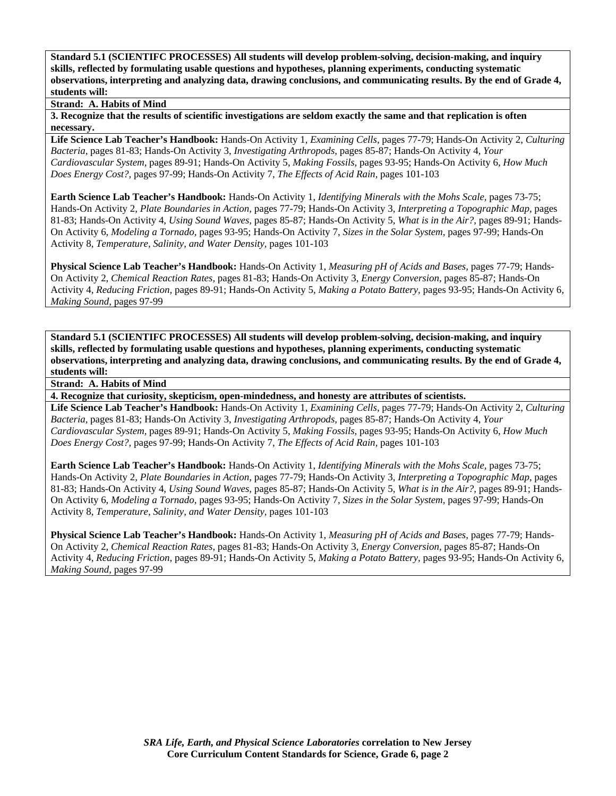**Strand: A. Habits of Mind** 

**3. Recognize that the results of scientific investigations are seldom exactly the same and that replication is often necessary.** 

**Life Science Lab Teacher's Handbook:** Hands-On Activity 1, *Examining Cells,* pages 77-79; Hands-On Activity 2, *Culturing Bacteria,* pages 81-83; Hands-On Activity 3, *Investigating Arthropods,* pages 85-87; Hands-On Activity 4, *Your Cardiovascular System,* pages 89-91; Hands-On Activity 5, *Making Fossils,* pages 93-95; Hands-On Activity 6, *How Much Does Energy Cost?,* pages 97-99; Hands-On Activity 7, *The Effects of Acid Rain,* pages 101-103

**Earth Science Lab Teacher's Handbook:** Hands-On Activity 1, *Identifying Minerals with the Mohs Scale,* pages 73-75; Hands-On Activity 2, *Plate Boundaries in Action,* pages 77-79; Hands-On Activity 3, *Interpreting a Topographic Map,* pages 81-83; Hands-On Activity 4, *Using Sound Waves,* pages 85-87; Hands-On Activity 5, *What is in the Air?,* pages 89-91; Hands-On Activity 6, *Modeling a Tornado,* pages 93-95; Hands-On Activity 7, *Sizes in the Solar System,* pages 97-99; Hands-On Activity 8, *Temperature, Salinity, and Water Density,* pages 101-103

**Physical Science Lab Teacher's Handbook:** Hands-On Activity 1, *Measuring pH of Acids and Bases,* pages 77-79; Hands-On Activity 2, *Chemical Reaction Rates,* pages 81-83; Hands-On Activity 3, *Energy Conversion,* pages 85-87; Hands-On Activity 4, *Reducing Friction,* pages 89-91; Hands-On Activity 5, *Making a Potato Battery,* pages 93-95; Hands-On Activity 6, *Making Sound,* pages 97-99

**Standard 5.1 (SCIENTIFC PROCESSES) All students will develop problem-solving, decision-making, and inquiry skills, reflected by formulating usable questions and hypotheses, planning experiments, conducting systematic observations, interpreting and analyzing data, drawing conclusions, and communicating results. By the end of Grade 4, students will:** 

**Strand: A. Habits of Mind** 

**4. Recognize that curiosity, skepticism, open-mindedness, and honesty are attributes of scientists.** 

**Life Science Lab Teacher's Handbook:** Hands-On Activity 1, *Examining Cells,* pages 77-79; Hands-On Activity 2, *Culturing Bacteria,* pages 81-83; Hands-On Activity 3, *Investigating Arthropods,* pages 85-87; Hands-On Activity 4, *Your Cardiovascular System,* pages 89-91; Hands-On Activity 5, *Making Fossils,* pages 93-95; Hands-On Activity 6, *How Much Does Energy Cost?,* pages 97-99; Hands-On Activity 7, *The Effects of Acid Rain,* pages 101-103

**Earth Science Lab Teacher's Handbook:** Hands-On Activity 1, *Identifying Minerals with the Mohs Scale,* pages 73-75; Hands-On Activity 2, *Plate Boundaries in Action,* pages 77-79; Hands-On Activity 3, *Interpreting a Topographic Map,* pages 81-83; Hands-On Activity 4, *Using Sound Waves,* pages 85-87; Hands-On Activity 5, *What is in the Air?,* pages 89-91; Hands-On Activity 6, *Modeling a Tornado,* pages 93-95; Hands-On Activity 7, *Sizes in the Solar System,* pages 97-99; Hands-On Activity 8, *Temperature, Salinity, and Water Density,* pages 101-103

**Physical Science Lab Teacher's Handbook:** Hands-On Activity 1, *Measuring pH of Acids and Bases,* pages 77-79; Hands-On Activity 2, *Chemical Reaction Rates,* pages 81-83; Hands-On Activity 3, *Energy Conversion,* pages 85-87; Hands-On Activity 4, *Reducing Friction,* pages 89-91; Hands-On Activity 5, *Making a Potato Battery,* pages 93-95; Hands-On Activity 6, *Making Sound,* pages 97-99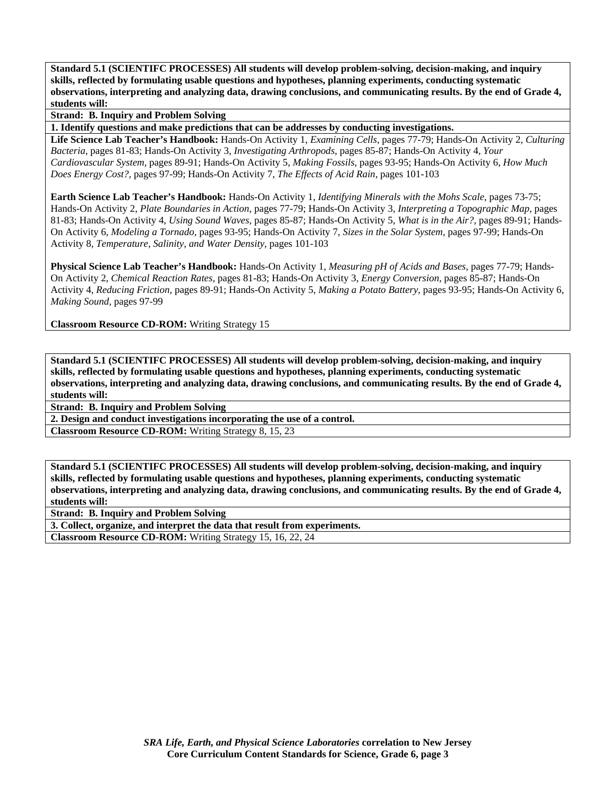**Strand: B. Inquiry and Problem Solving** 

**1. Identify questions and make predictions that can be addresses by conducting investigations.** 

**Life Science Lab Teacher's Handbook:** Hands-On Activity 1, *Examining Cells,* pages 77-79; Hands-On Activity 2, *Culturing Bacteria,* pages 81-83; Hands-On Activity 3, *Investigating Arthropods,* pages 85-87; Hands-On Activity 4, *Your Cardiovascular System,* pages 89-91; Hands-On Activity 5, *Making Fossils,* pages 93-95; Hands-On Activity 6, *How Much Does Energy Cost?,* pages 97-99; Hands-On Activity 7, *The Effects of Acid Rain,* pages 101-103

**Earth Science Lab Teacher's Handbook:** Hands-On Activity 1, *Identifying Minerals with the Mohs Scale,* pages 73-75; Hands-On Activity 2, *Plate Boundaries in Action,* pages 77-79; Hands-On Activity 3, *Interpreting a Topographic Map,* pages 81-83; Hands-On Activity 4, *Using Sound Waves,* pages 85-87; Hands-On Activity 5, *What is in the Air?,* pages 89-91; Hands-On Activity 6, *Modeling a Tornado,* pages 93-95; Hands-On Activity 7, *Sizes in the Solar System,* pages 97-99; Hands-On Activity 8, *Temperature, Salinity, and Water Density,* pages 101-103

**Physical Science Lab Teacher's Handbook:** Hands-On Activity 1, *Measuring pH of Acids and Bases,* pages 77-79; Hands-On Activity 2, *Chemical Reaction Rates,* pages 81-83; Hands-On Activity 3, *Energy Conversion,* pages 85-87; Hands-On Activity 4, *Reducing Friction,* pages 89-91; Hands-On Activity 5, *Making a Potato Battery,* pages 93-95; Hands-On Activity 6, *Making Sound,* pages 97-99

**Classroom Resource CD-ROM:** Writing Strategy 15

**Standard 5.1 (SCIENTIFC PROCESSES) All students will develop problem-solving, decision-making, and inquiry skills, reflected by formulating usable questions and hypotheses, planning experiments, conducting systematic observations, interpreting and analyzing data, drawing conclusions, and communicating results. By the end of Grade 4, students will:** 

**Strand: B. Inquiry and Problem Solving** 

**2. Design and conduct investigations incorporating the use of a control.** 

**Classroom Resource CD-ROM:** Writing Strategy 8, 15, 23

**Standard 5.1 (SCIENTIFC PROCESSES) All students will develop problem-solving, decision-making, and inquiry skills, reflected by formulating usable questions and hypotheses, planning experiments, conducting systematic observations, interpreting and analyzing data, drawing conclusions, and communicating results. By the end of Grade 4, students will:** 

**Strand: B. Inquiry and Problem Solving** 

**3. Collect, organize, and interpret the data that result from experiments.** 

**Classroom Resource CD-ROM:** Writing Strategy 15, 16, 22, 24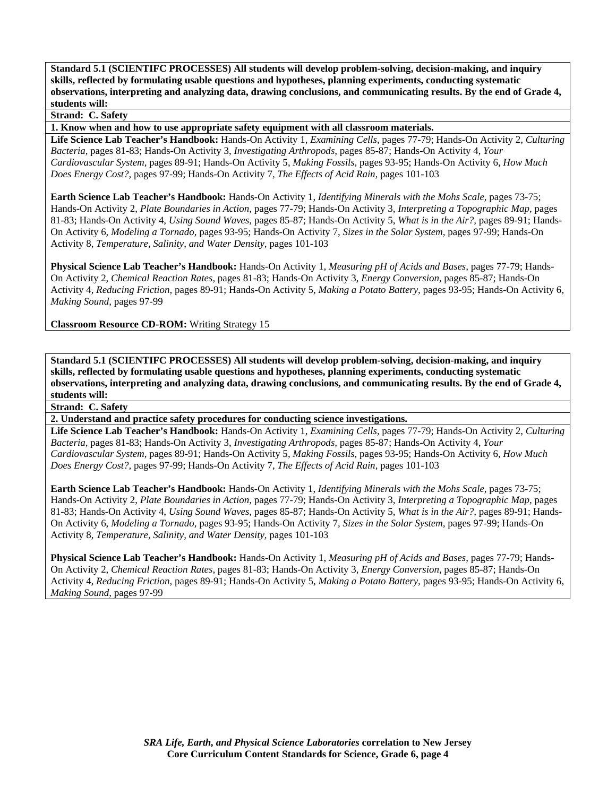## **Strand: C. Safety**

**1. Know when and how to use appropriate safety equipment with all classroom materials.** 

**Life Science Lab Teacher's Handbook:** Hands-On Activity 1, *Examining Cells,* pages 77-79; Hands-On Activity 2, *Culturing Bacteria,* pages 81-83; Hands-On Activity 3, *Investigating Arthropods,* pages 85-87; Hands-On Activity 4, *Your Cardiovascular System,* pages 89-91; Hands-On Activity 5, *Making Fossils,* pages 93-95; Hands-On Activity 6, *How Much Does Energy Cost?,* pages 97-99; Hands-On Activity 7, *The Effects of Acid Rain,* pages 101-103

**Earth Science Lab Teacher's Handbook:** Hands-On Activity 1, *Identifying Minerals with the Mohs Scale,* pages 73-75; Hands-On Activity 2, *Plate Boundaries in Action,* pages 77-79; Hands-On Activity 3, *Interpreting a Topographic Map,* pages 81-83; Hands-On Activity 4, *Using Sound Waves,* pages 85-87; Hands-On Activity 5, *What is in the Air?,* pages 89-91; Hands-On Activity 6, *Modeling a Tornado,* pages 93-95; Hands-On Activity 7, *Sizes in the Solar System,* pages 97-99; Hands-On Activity 8, *Temperature, Salinity, and Water Density,* pages 101-103

**Physical Science Lab Teacher's Handbook:** Hands-On Activity 1, *Measuring pH of Acids and Bases,* pages 77-79; Hands-On Activity 2, *Chemical Reaction Rates,* pages 81-83; Hands-On Activity 3, *Energy Conversion,* pages 85-87; Hands-On Activity 4, *Reducing Friction,* pages 89-91; Hands-On Activity 5, *Making a Potato Battery,* pages 93-95; Hands-On Activity 6, *Making Sound,* pages 97-99

**Classroom Resource CD-ROM:** Writing Strategy 15

**Standard 5.1 (SCIENTIFC PROCESSES) All students will develop problem-solving, decision-making, and inquiry skills, reflected by formulating usable questions and hypotheses, planning experiments, conducting systematic observations, interpreting and analyzing data, drawing conclusions, and communicating results. By the end of Grade 4, students will:** 

**Strand: C. Safety** 

**2. Understand and practice safety procedures for conducting science investigations.** 

**Life Science Lab Teacher's Handbook:** Hands-On Activity 1, *Examining Cells,* pages 77-79; Hands-On Activity 2, *Culturing Bacteria,* pages 81-83; Hands-On Activity 3, *Investigating Arthropods,* pages 85-87; Hands-On Activity 4, *Your Cardiovascular System,* pages 89-91; Hands-On Activity 5, *Making Fossils,* pages 93-95; Hands-On Activity 6, *How Much Does Energy Cost?,* pages 97-99; Hands-On Activity 7, *The Effects of Acid Rain,* pages 101-103

**Earth Science Lab Teacher's Handbook:** Hands-On Activity 1, *Identifying Minerals with the Mohs Scale,* pages 73-75; Hands-On Activity 2, *Plate Boundaries in Action,* pages 77-79; Hands-On Activity 3, *Interpreting a Topographic Map,* pages 81-83; Hands-On Activity 4, *Using Sound Waves,* pages 85-87; Hands-On Activity 5, *What is in the Air?,* pages 89-91; Hands-On Activity 6, *Modeling a Tornado,* pages 93-95; Hands-On Activity 7, *Sizes in the Solar System,* pages 97-99; Hands-On Activity 8, *Temperature, Salinity, and Water Density,* pages 101-103

**Physical Science Lab Teacher's Handbook:** Hands-On Activity 1, *Measuring pH of Acids and Bases,* pages 77-79; Hands-On Activity 2, *Chemical Reaction Rates,* pages 81-83; Hands-On Activity 3, *Energy Conversion,* pages 85-87; Hands-On Activity 4, *Reducing Friction,* pages 89-91; Hands-On Activity 5, *Making a Potato Battery,* pages 93-95; Hands-On Activity 6, *Making Sound,* pages 97-99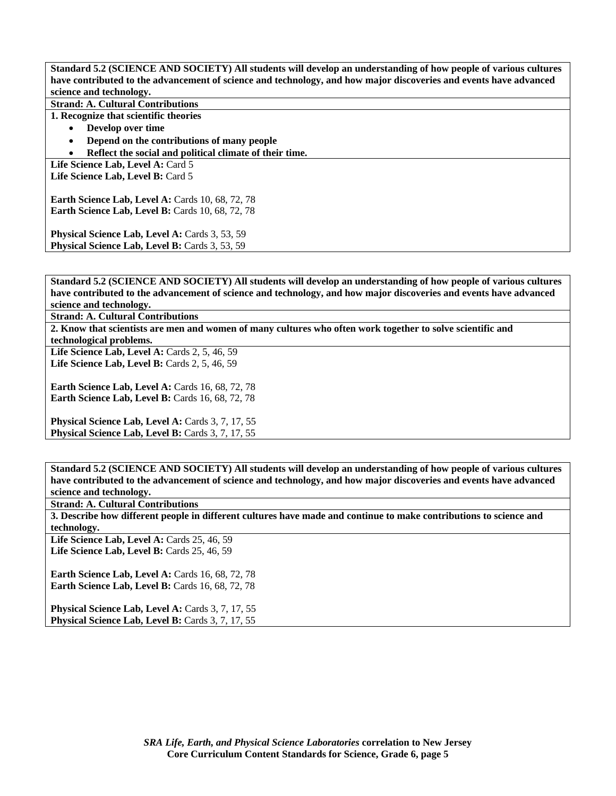**Standard 5.2 (SCIENCE AND SOCIETY) All students will develop an understanding of how people of various cultures have contributed to the advancement of science and technology, and how major discoveries and events have advanced science and technology.** 

**Strand: A. Cultural Contributions** 

**1. Recognize that scientific theories** 

- **Develop over time**
- **Depend on the contributions of many people**
- **Reflect the social and political climate of their time.**

Life Science Lab, Level A: Card 5 Life Science Lab. Level B: Card 5

**Earth Science Lab, Level A: Cards 10, 68, 72, 78 Earth Science Lab, Level B: Cards 10, 68, 72, 78** 

**Physical Science Lab, Level A: Cards 3, 53, 59** Physical Science Lab, Level B: Cards 3, 53, 59

**Standard 5.2 (SCIENCE AND SOCIETY) All students will develop an understanding of how people of various cultures have contributed to the advancement of science and technology, and how major discoveries and events have advanced science and technology.** 

**Strand: A. Cultural Contributions** 

**2. Know that scientists are men and women of many cultures who often work together to solve scientific and technological problems.** 

Life Science Lab, Level A: Cards 2, 5, 46, 59 Life Science Lab, Level B: Cards 2, 5, 46, 59

**Earth Science Lab, Level A: Cards 16, 68, 72, 78 Earth Science Lab, Level B: Cards 16, 68, 72, 78** 

Physical Science Lab, Level A: Cards 3, 7, 17, 55 Physical Science Lab, Level B: Cards 3, 7, 17, 55

**Standard 5.2 (SCIENCE AND SOCIETY) All students will develop an understanding of how people of various cultures have contributed to the advancement of science and technology, and how major discoveries and events have advanced science and technology.** 

**Strand: A. Cultural Contributions** 

**3. Describe how different people in different cultures have made and continue to make contributions to science and technology.** 

Life Science Lab, Level A: Cards 25, 46, 59 **Life Science Lab, Level B: Cards 25, 46, 59** 

**Earth Science Lab, Level A: Cards 16, 68, 72, 78 Earth Science Lab, Level B:** Cards 16, 68, 72, 78

Physical Science Lab, Level A: Cards 3, 7, 17, 55 Physical Science Lab, Level B: Cards 3, 7, 17, 55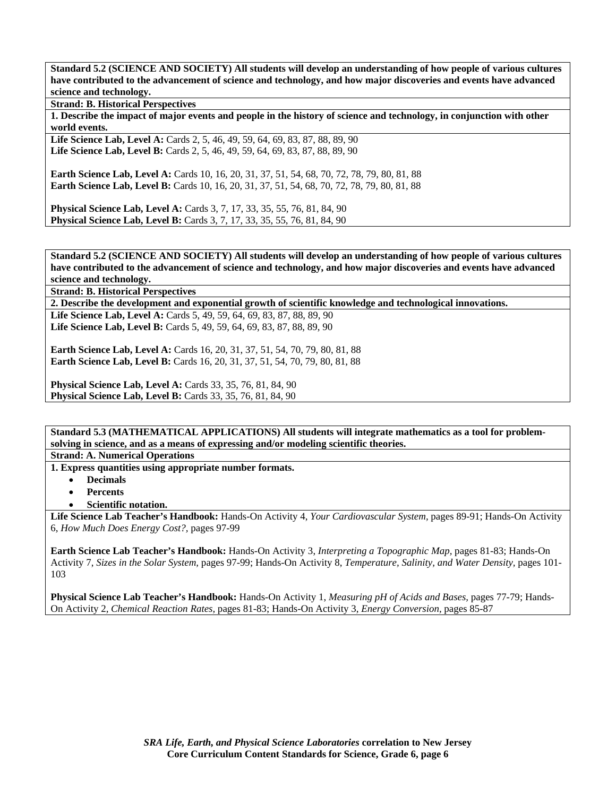**Standard 5.2 (SCIENCE AND SOCIETY) All students will develop an understanding of how people of various cultures have contributed to the advancement of science and technology, and how major discoveries and events have advanced science and technology.** 

**Strand: B. Historical Perspectives** 

**1. Describe the impact of major events and people in the history of science and technology, in conjunction with other world events.** 

Life Science Lab, Level A: Cards 2, 5, 46, 49, 59, 64, 69, 83, 87, 88, 89, 90 **Life Science Lab, Level B:** Cards 2, 5, 46, 49, 59, 64, 69, 83, 87, 88, 89, 90

**Earth Science Lab, Level A: Cards 10, 16, 20, 31, 37, 51, 54, 68, 70, 72, 78, 79, 80, 81, 88 Earth Science Lab, Level B:** Cards 10, 16, 20, 31, 37, 51, 54, 68, 70, 72, 78, 79, 80, 81, 88

**Physical Science Lab, Level A: Cards 3, 7, 17, 33, 35, 55, 76, 81, 84, 90 Physical Science Lab, Level B:** Cards 3, 7, 17, 33, 35, 55, 76, 81, 84, 90

**Standard 5.2 (SCIENCE AND SOCIETY) All students will develop an understanding of how people of various cultures have contributed to the advancement of science and technology, and how major discoveries and events have advanced science and technology.** 

**Strand: B. Historical Perspectives** 

**2. Describe the development and exponential growth of scientific knowledge and technological innovations.** 

Life Science Lab, Level A: Cards 5, 49, 59, 64, 69, 83, 87, 88, 89, 90 Life Science Lab, Level B: Cards 5, 49, 59, 64, 69, 83, 87, 88, 89, 90

**Earth Science Lab, Level A:** Cards 16, 20, 31, 37, 51, 54, 70, 79, 80, 81, 88 **Earth Science Lab, Level B:** Cards 16, 20, 31, 37, 51, 54, 70, 79, 80, 81, 88

**Physical Science Lab, Level A: Cards 33, 35, 76, 81, 84, 90 Physical Science Lab, Level B:** Cards 33, 35, 76, 81, 84, 90

**Standard 5.3 (MATHEMATICAL APPLICATIONS) All students will integrate mathematics as a tool for problemsolving in science, and as a means of expressing and/or modeling scientific theories.** 

**Strand: A. Numerical Operations** 

**1. Express quantities using appropriate number formats.** 

- **Decimals**
- **Percents**
- **Scientific notation.**

**Life Science Lab Teacher's Handbook:** Hands-On Activity 4, *Your Cardiovascular System,* pages 89-91; Hands-On Activity 6, *How Much Does Energy Cost?,* pages 97-99

**Earth Science Lab Teacher's Handbook:** Hands-On Activity 3, *Interpreting a Topographic Map,* pages 81-83; Hands-On Activity 7, *Sizes in the Solar System,* pages 97-99; Hands-On Activity 8, *Temperature, Salinity, and Water Density,* pages 101- 103

**Physical Science Lab Teacher's Handbook:** Hands-On Activity 1, *Measuring pH of Acids and Bases,* pages 77-79; Hands-On Activity 2, *Chemical Reaction Rates,* pages 81-83; Hands-On Activity 3, *Energy Conversion,* pages 85-87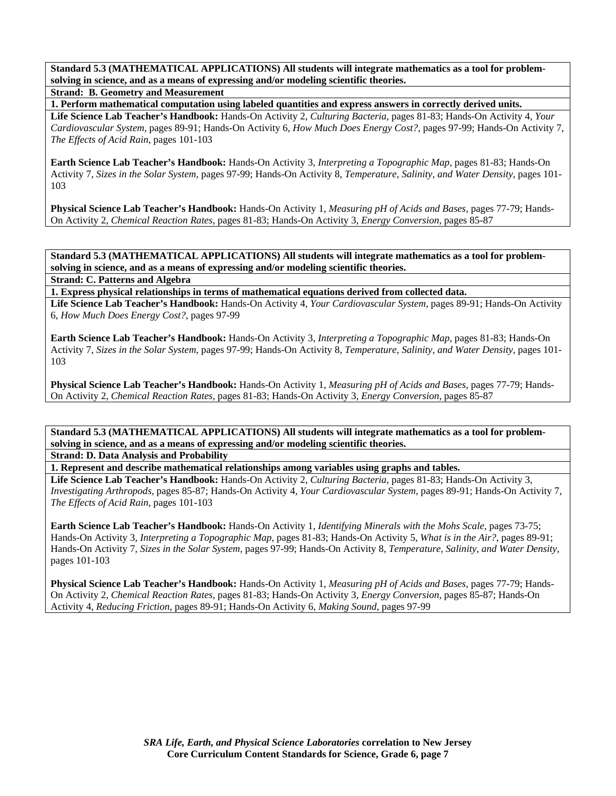**Standard 5.3 (MATHEMATICAL APPLICATIONS) All students will integrate mathematics as a tool for problemsolving in science, and as a means of expressing and/or modeling scientific theories.** 

**Strand: B. Geometry and Measurement** 

**1. Perform mathematical computation using labeled quantities and express answers in correctly derived units.** 

**Life Science Lab Teacher's Handbook:** Hands-On Activity 2, *Culturing Bacteria,* pages 81-83; Hands-On Activity 4, *Your Cardiovascular System,* pages 89-91; Hands-On Activity 6, *How Much Does Energy Cost?,* pages 97-99; Hands-On Activity 7, *The Effects of Acid Rain,* pages 101-103

**Earth Science Lab Teacher's Handbook:** Hands-On Activity 3, *Interpreting a Topographic Map,* pages 81-83; Hands-On Activity 7, *Sizes in the Solar System,* pages 97-99; Hands-On Activity 8, *Temperature, Salinity, and Water Density,* pages 101- 103

**Physical Science Lab Teacher's Handbook:** Hands-On Activity 1, *Measuring pH of Acids and Bases,* pages 77-79; Hands-On Activity 2, *Chemical Reaction Rates,* pages 81-83; Hands-On Activity 3, *Energy Conversion,* pages 85-87

**Standard 5.3 (MATHEMATICAL APPLICATIONS) All students will integrate mathematics as a tool for problemsolving in science, and as a means of expressing and/or modeling scientific theories.** 

**Strand: C. Patterns and Algebra** 

**1. Express physical relationships in terms of mathematical equations derived from collected data. Life Science Lab Teacher's Handbook:** Hands-On Activity 4, *Your Cardiovascular System,* pages 89-91; Hands-On Activity 6, *How Much Does Energy Cost?,* pages 97-99

**Earth Science Lab Teacher's Handbook:** Hands-On Activity 3, *Interpreting a Topographic Map,* pages 81-83; Hands-On Activity 7, *Sizes in the Solar System,* pages 97-99; Hands-On Activity 8, *Temperature, Salinity, and Water Density,* pages 101- 103

**Physical Science Lab Teacher's Handbook:** Hands-On Activity 1, *Measuring pH of Acids and Bases,* pages 77-79; Hands-On Activity 2, *Chemical Reaction Rates,* pages 81-83; Hands-On Activity 3, *Energy Conversion,* pages 85-87

**Standard 5.3 (MATHEMATICAL APPLICATIONS) All students will integrate mathematics as a tool for problemsolving in science, and as a means of expressing and/or modeling scientific theories.** 

**Strand: D. Data Analysis and Probability** 

**1. Represent and describe mathematical relationships among variables using graphs and tables.** 

**Life Science Lab Teacher's Handbook:** Hands-On Activity 2, *Culturing Bacteria,* pages 81-83; Hands-On Activity 3, *Investigating Arthropods,* pages 85-87; Hands-On Activity 4, *Your Cardiovascular System,* pages 89-91; Hands-On Activity 7, *The Effects of Acid Rain,* pages 101-103

**Earth Science Lab Teacher's Handbook:** Hands-On Activity 1, *Identifying Minerals with the Mohs Scale,* pages 73-75; Hands-On Activity 3, *Interpreting a Topographic Map,* pages 81-83; Hands-On Activity 5, *What is in the Air?,* pages 89-91; Hands-On Activity 7, *Sizes in the Solar System,* pages 97-99; Hands-On Activity 8, *Temperature, Salinity, and Water Density,* pages 101-103

**Physical Science Lab Teacher's Handbook:** Hands-On Activity 1, *Measuring pH of Acids and Bases,* pages 77-79; Hands-On Activity 2, *Chemical Reaction Rates,* pages 81-83; Hands-On Activity 3, *Energy Conversion,* pages 85-87; Hands-On Activity 4, *Reducing Friction,* pages 89-91; Hands-On Activity 6, *Making Sound,* pages 97-99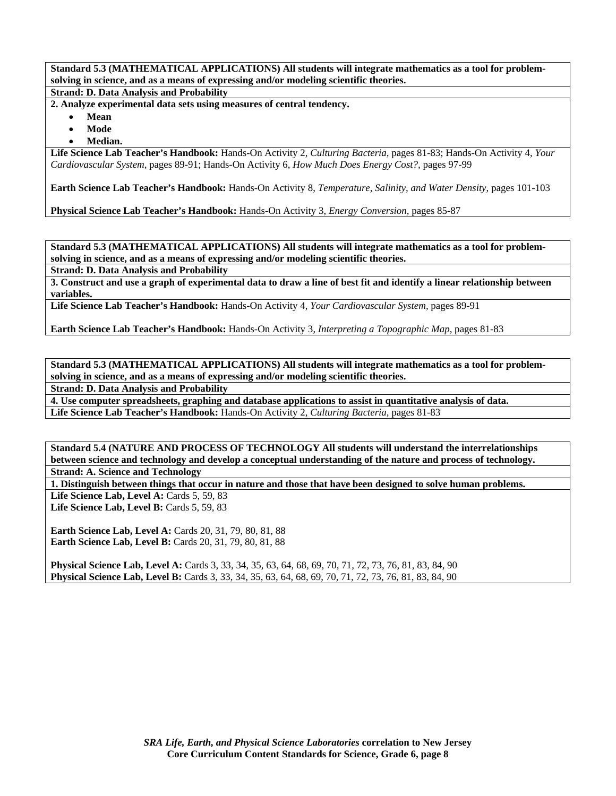**Standard 5.3 (MATHEMATICAL APPLICATIONS) All students will integrate mathematics as a tool for problemsolving in science, and as a means of expressing and/or modeling scientific theories.** 

**Strand: D. Data Analysis and Probability** 

**2. Analyze experimental data sets using measures of central tendency.** 

- **Mean**
- **Mode**
- **Median.**

**Life Science Lab Teacher's Handbook:** Hands-On Activity 2, *Culturing Bacteria,* pages 81-83; Hands-On Activity 4, *Your Cardiovascular System,* pages 89-91; Hands-On Activity 6, *How Much Does Energy Cost?,* pages 97-99

**Earth Science Lab Teacher's Handbook:** Hands-On Activity 8, *Temperature, Salinity, and Water Density,* pages 101-103

**Physical Science Lab Teacher's Handbook:** Hands-On Activity 3, *Energy Conversion,* pages 85-87

**Standard 5.3 (MATHEMATICAL APPLICATIONS) All students will integrate mathematics as a tool for problemsolving in science, and as a means of expressing and/or modeling scientific theories.** 

**Strand: D. Data Analysis and Probability** 

**3. Construct and use a graph of experimental data to draw a line of best fit and identify a linear relationship between variables.** 

**Life Science Lab Teacher's Handbook:** Hands-On Activity 4, *Your Cardiovascular System,* pages 89-91

**Earth Science Lab Teacher's Handbook:** Hands-On Activity 3, *Interpreting a Topographic Map,* pages 81-83

**Standard 5.3 (MATHEMATICAL APPLICATIONS) All students will integrate mathematics as a tool for problemsolving in science, and as a means of expressing and/or modeling scientific theories.** 

**Strand: D. Data Analysis and Probability** 

**4. Use computer spreadsheets, graphing and database applications to assist in quantitative analysis of data. Life Science Lab Teacher's Handbook:** Hands-On Activity 2, *Culturing Bacteria,* pages 81-83

**Standard 5.4 (NATURE AND PROCESS OF TECHNOLOGY All students will understand the interrelationships between science and technology and develop a conceptual understanding of the nature and process of technology. Strand: A. Science and Technology** 

**1. Distinguish between things that occur in nature and those that have been designed to solve human problems.** 

Life Science Lab, Level A: Cards 5, 59, 83 Life Science Lab, Level B: Cards 5, 59, 83

**Earth Science Lab, Level A: Cards 20, 31, 79, 80, 81, 88 Earth Science Lab, Level B:** Cards 20, 31, 79, 80, 81, 88

**Physical Science Lab, Level A:** Cards 3, 33, 34, 35, 63, 64, 68, 69, 70, 71, 72, 73, 76, 81, 83, 84, 90 **Physical Science Lab, Level B:** Cards 3, 33, 34, 35, 63, 64, 68, 69, 70, 71, 72, 73, 76, 81, 83, 84, 90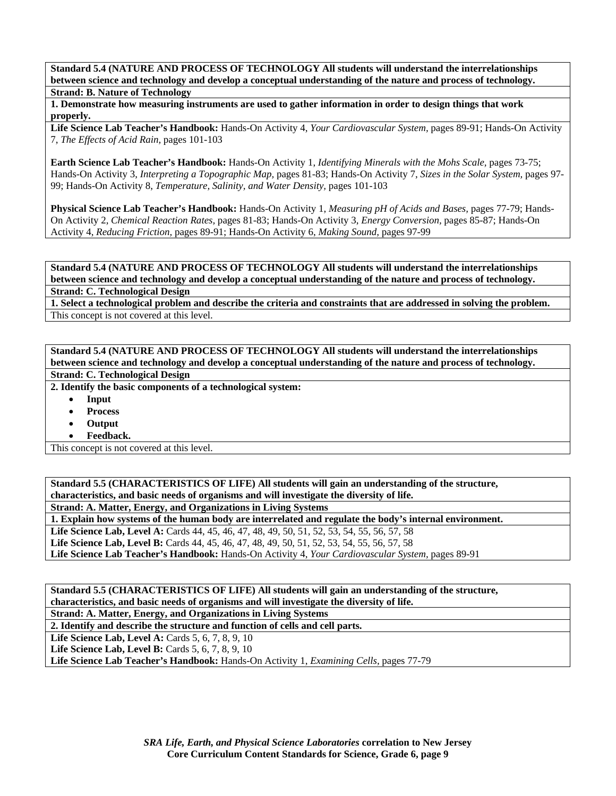**Standard 5.4 (NATURE AND PROCESS OF TECHNOLOGY All students will understand the interrelationships between science and technology and develop a conceptual understanding of the nature and process of technology. Strand: B. Nature of Technology** 

**1. Demonstrate how measuring instruments are used to gather information in order to design things that work properly.** 

**Life Science Lab Teacher's Handbook:** Hands-On Activity 4, *Your Cardiovascular System,* pages 89-91; Hands-On Activity 7, *The Effects of Acid Rain,* pages 101-103

**Earth Science Lab Teacher's Handbook:** Hands-On Activity 1, *Identifying Minerals with the Mohs Scale,* pages 73-75; Hands-On Activity 3, *Interpreting a Topographic Map,* pages 81-83; Hands-On Activity 7, *Sizes in the Solar System,* pages 97- 99; Hands-On Activity 8, *Temperature, Salinity, and Water Density,* pages 101-103

**Physical Science Lab Teacher's Handbook:** Hands-On Activity 1, *Measuring pH of Acids and Bases,* pages 77-79; Hands-On Activity 2, *Chemical Reaction Rates,* pages 81-83; Hands-On Activity 3, *Energy Conversion,* pages 85-87; Hands-On Activity 4, *Reducing Friction,* pages 89-91; Hands-On Activity 6, *Making Sound,* pages 97-99

**Standard 5.4 (NATURE AND PROCESS OF TECHNOLOGY All students will understand the interrelationships between science and technology and develop a conceptual understanding of the nature and process of technology. Strand: C. Technological Design** 

**1. Select a technological problem and describe the criteria and constraints that are addressed in solving the problem.**  This concept is not covered at this level.

**Standard 5.4 (NATURE AND PROCESS OF TECHNOLOGY All students will understand the interrelationships between science and technology and develop a conceptual understanding of the nature and process of technology. Strand: C. Technological Design** 

**2. Identify the basic components of a technological system:** 

- **Input**
- **Process**
- **Output**
- **Feedback.**

This concept is not covered at this level.

**Standard 5.5 (CHARACTERISTICS OF LIFE) All students will gain an understanding of the structure, characteristics, and basic needs of organisms and will investigate the diversity of life.** 

**Strand: A. Matter, Energy, and Organizations in Living Systems** 

**1. Explain how systems of the human body are interrelated and regulate the body's internal environment.** 

**Life Science Lab, Level A:** Cards 44, 45, 46, 47, 48, 49, 50, 51, 52, 53, 54, 55, 56, 57, 58

Life Science Lab, Level B: Cards 44, 45, 46, 47, 48, 49, 50, 51, 52, 53, 54, 55, 56, 57, 58

**Life Science Lab Teacher's Handbook:** Hands-On Activity 4, *Your Cardiovascular System,* pages 89-91

**Standard 5.5 (CHARACTERISTICS OF LIFE) All students will gain an understanding of the structure, characteristics, and basic needs of organisms and will investigate the diversity of life.** 

**Strand: A. Matter, Energy, and Organizations in Living Systems** 

**2. Identify and describe the structure and function of cells and cell parts.** 

**Life Science Lab, Level A: Cards 5, 6, 7, 8, 9, 10** 

**Life Science Lab, Level B:** Cards 5, 6, 7, 8, 9, 10

**Life Science Lab Teacher's Handbook:** Hands-On Activity 1, *Examining Cells,* pages 77-79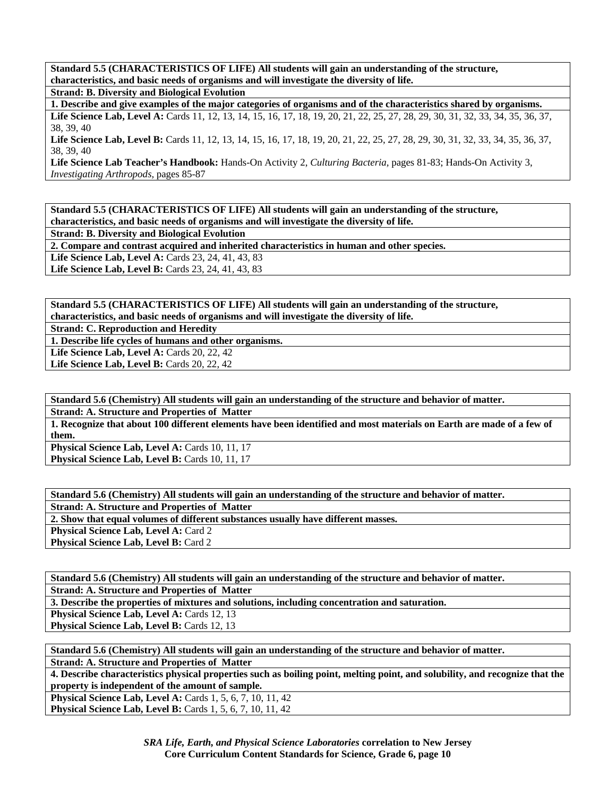**Standard 5.5 (CHARACTERISTICS OF LIFE) All students will gain an understanding of the structure, characteristics, and basic needs of organisms and will investigate the diversity of life. Strand: B. Diversity and Biological Evolution** 

**1. Describe and give examples of the major categories of organisms and of the characteristics shared by organisms.** 

Life Science Lab, Level A: Cards 11, 12, 13, 14, 15, 16, 17, 18, 19, 20, 21, 22, 25, 27, 28, 29, 30, 31, 32, 33, 34, 35, 36, 37, 38, 39, 40 Life Science Lab, Level B: Cards 11, 12, 13, 14, 15, 16, 17, 18, 19, 20, 21, 22, 25, 27, 28, 29, 30, 31, 32, 33, 34, 35, 36, 37,

38, 39, 40

**Life Science Lab Teacher's Handbook:** Hands-On Activity 2, *Culturing Bacteria,* pages 81-83; Hands-On Activity 3, *Investigating Arthropods,* pages 85-87

**Standard 5.5 (CHARACTERISTICS OF LIFE) All students will gain an understanding of the structure, characteristics, and basic needs of organisms and will investigate the diversity of life.** 

**Strand: B. Diversity and Biological Evolution** 

**2. Compare and contrast acquired and inherited characteristics in human and other species.** 

**Life Science Lab, Level A: Cards 23, 24, 41, 43, 83** 

**Life Science Lab, Level B: Cards 23, 24, 41, 43, 83** 

**Standard 5.5 (CHARACTERISTICS OF LIFE) All students will gain an understanding of the structure, characteristics, and basic needs of organisms and will investigate the diversity of life.** 

**Strand: C. Reproduction and Heredity** 

**1. Describe life cycles of humans and other organisms.** 

**Life Science Lab, Level A: Cards 20, 22, 42** 

**Life Science Lab, Level B: Cards 20, 22, 42** 

**Standard 5.6 (Chemistry) All students will gain an understanding of the structure and behavior of matter. Strand: A. Structure and Properties of Matter** 

**1. Recognize that about 100 different elements have been identified and most materials on Earth are made of a few of them.** 

Physical Science Lab, Level A: Cards 10, 11, 17 Physical Science Lab, Level B: Cards 10, 11, 17

**Standard 5.6 (Chemistry) All students will gain an understanding of the structure and behavior of matter. Strand: A. Structure and Properties of Matter 2. Show that equal volumes of different substances usually have different masses. Physical Science Lab, Level A: Card 2** Physical Science Lab, Level B: Card 2

**Standard 5.6 (Chemistry) All students will gain an understanding of the structure and behavior of matter. Strand: A. Structure and Properties of Matter** 

**3. Describe the properties of mixtures and solutions, including concentration and saturation.** 

**Physical Science Lab, Level A: Cards 12, 13** 

**Physical Science Lab, Level B: Cards 12, 13** 

**Standard 5.6 (Chemistry) All students will gain an understanding of the structure and behavior of matter.** 

**Strand: A. Structure and Properties of Matter** 

**4. Describe characteristics physical properties such as boiling point, melting point, and solubility, and recognize that the property is independent of the amount of sample.** 

**Physical Science Lab, Level A: Cards 1, 5, 6, 7, 10, 11, 42 Physical Science Lab, Level B:** Cards 1, 5, 6, 7, 10, 11, 42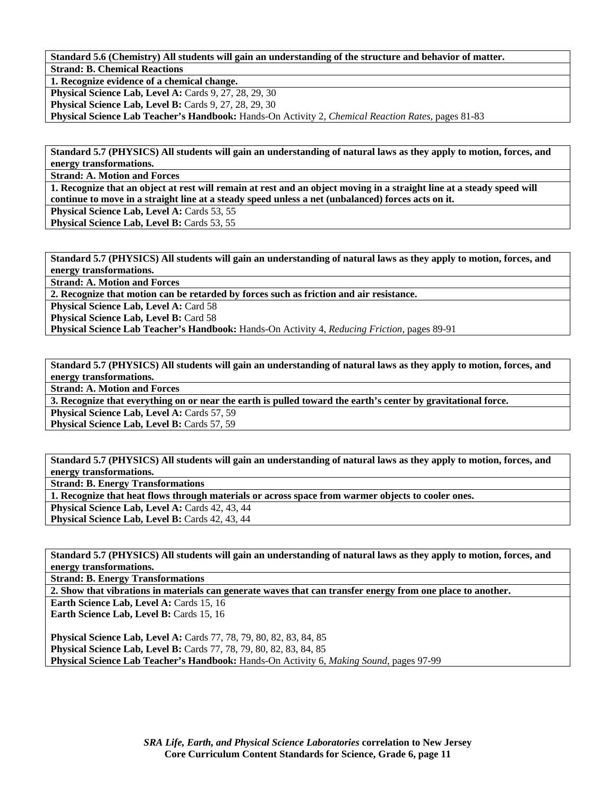**Standard 5.6 (Chemistry) All students will gain an understanding of the structure and behavior of matter. Strand: B. Chemical Reactions** 

**1. Recognize evidence of a chemical change.** 

**Physical Science Lab, Level A: Cards 9, 27, 28, 29, 30** 

**Physical Science Lab, Level B:** Cards 9, 27, 28, 29, 30

**Physical Science Lab Teacher's Handbook:** Hands-On Activity 2, *Chemical Reaction Rates,* pages 81-83

**Standard 5.7 (PHYSICS) All students will gain an understanding of natural laws as they apply to motion, forces, and energy transformations.** 

**Strand: A. Motion and Forces** 

**1. Recognize that an object at rest will remain at rest and an object moving in a straight line at a steady speed will continue to move in a straight line at a steady speed unless a net (unbalanced) forces acts on it.** 

Physical Science Lab, Level A: Cards 53, 55

Physical Science Lab, Level B: Cards 53, 55

**Standard 5.7 (PHYSICS) All students will gain an understanding of natural laws as they apply to motion, forces, and energy transformations.** 

**Strand: A. Motion and Forces** 

**2. Recognize that motion can be retarded by forces such as friction and air resistance.** 

Physical Science Lab, Level A: Card 58

**Physical Science Lab, Level B: Card 58** 

**Physical Science Lab Teacher's Handbook:** Hands-On Activity 4, *Reducing Friction,* pages 89-91

**Standard 5.7 (PHYSICS) All students will gain an understanding of natural laws as they apply to motion, forces, and energy transformations.** 

**Strand: A. Motion and Forces** 

**3. Recognize that everything on or near the earth is pulled toward the earth's center by gravitational force.** 

Physical Science Lab, Level A: Cards 57, 59

**Physical Science Lab, Level B: Cards 57, 59** 

**Standard 5.7 (PHYSICS) All students will gain an understanding of natural laws as they apply to motion, forces, and energy transformations.** 

**Strand: B. Energy Transformations** 

**1. Recognize that heat flows through materials or across space from warmer objects to cooler ones.** 

Physical Science Lab, Level A: Cards 42, 43, 44

Physical Science Lab, Level B: Cards 42, 43, 44

**Standard 5.7 (PHYSICS) All students will gain an understanding of natural laws as they apply to motion, forces, and energy transformations.** 

**Strand: B. Energy Transformations** 

**2. Show that vibrations in materials can generate waves that can transfer energy from one place to another.** 

Earth Science Lab, Level A: Cards 15, 16 Earth Science Lab, Level B: Cards 15, 16

**Physical Science Lab, Level A: Cards 77, 78, 79, 80, 82, 83, 84, 85 Physical Science Lab, Level B:** Cards 77, 78, 79, 80, 82, 83, 84, 85 **Physical Science Lab Teacher's Handbook:** Hands-On Activity 6, *Making Sound,* pages 97-99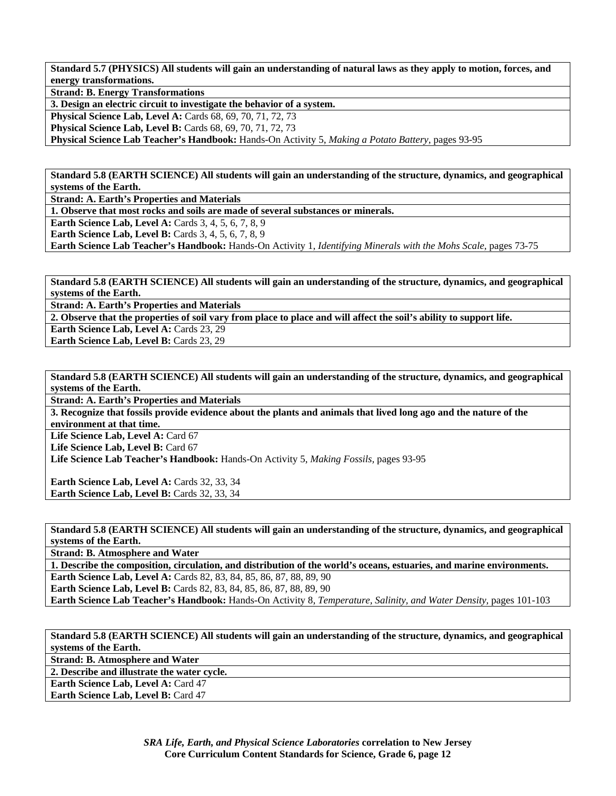**Standard 5.7 (PHYSICS) All students will gain an understanding of natural laws as they apply to motion, forces, and energy transformations.** 

**Strand: B. Energy Transformations** 

**3. Design an electric circuit to investigate the behavior of a system.** 

**Physical Science Lab, Level A:** Cards 68, 69, 70, 71, 72, 73 **Physical Science Lab, Level B:** Cards 68, 69, 70, 71, 72, 73

**Physical Science Lab Teacher's Handbook:** Hands-On Activity 5, *Making a Potato Battery,* pages 93-95

**Standard 5.8 (EARTH SCIENCE) All students will gain an understanding of the structure, dynamics, and geographical systems of the Earth.** 

**Strand: A. Earth's Properties and Materials** 

**1. Observe that most rocks and soils are made of several substances or minerals.** 

**Earth Science Lab, Level A: Cards 3, 4, 5, 6, 7, 8, 9** 

**Earth Science Lab, Level B:** Cards 3, 4, 5, 6, 7, 8, 9

**Earth Science Lab Teacher's Handbook:** Hands-On Activity 1, *Identifying Minerals with the Mohs Scale,* pages 73-75

**Standard 5.8 (EARTH SCIENCE) All students will gain an understanding of the structure, dynamics, and geographical systems of the Earth.** 

**Strand: A. Earth's Properties and Materials** 

**2. Observe that the properties of soil vary from place to place and will affect the soil's ability to support life.** 

**Earth Science Lab, Level A: Cards 23, 29** 

**Earth Science Lab, Level B: Cards 23, 29** 

**Standard 5.8 (EARTH SCIENCE) All students will gain an understanding of the structure, dynamics, and geographical systems of the Earth.** 

**Strand: A. Earth's Properties and Materials** 

**3. Recognize that fossils provide evidence about the plants and animals that lived long ago and the nature of the environment at that time.** 

Life Science Lab, Level A: Card 67

Life Science Lab, Level B: Card 67

**Life Science Lab Teacher's Handbook:** Hands-On Activity 5, *Making Fossils,* pages 93-95

Earth Science Lab, Level A: Cards 32, 33, 34 Earth Science Lab, Level B: Cards 32, 33, 34

**Standard 5.8 (EARTH SCIENCE) All students will gain an understanding of the structure, dynamics, and geographical systems of the Earth.** 

**Strand: B. Atmosphere and Water** 

**1. Describe the composition, circulation, and distribution of the world's oceans, estuaries, and marine environments.** 

**Earth Science Lab, Level A: Cards 82, 83, 84, 85, 86, 87, 88, 89, 90** 

**Earth Science Lab, Level B:** Cards 82, 83, 84, 85, 86, 87, 88, 89, 90 **Earth Science Lab Teacher's Handbook:** Hands-On Activity 8, *Temperature, Salinity, and Water Density,* pages 101-103

**Standard 5.8 (EARTH SCIENCE) All students will gain an understanding of the structure, dynamics, and geographical systems of the Earth.** 

**Strand: B. Atmosphere and Water** 

**2. Describe and illustrate the water cycle.** 

**Earth Science Lab, Level A: Card 47** 

**Earth Science Lab, Level B: Card 47**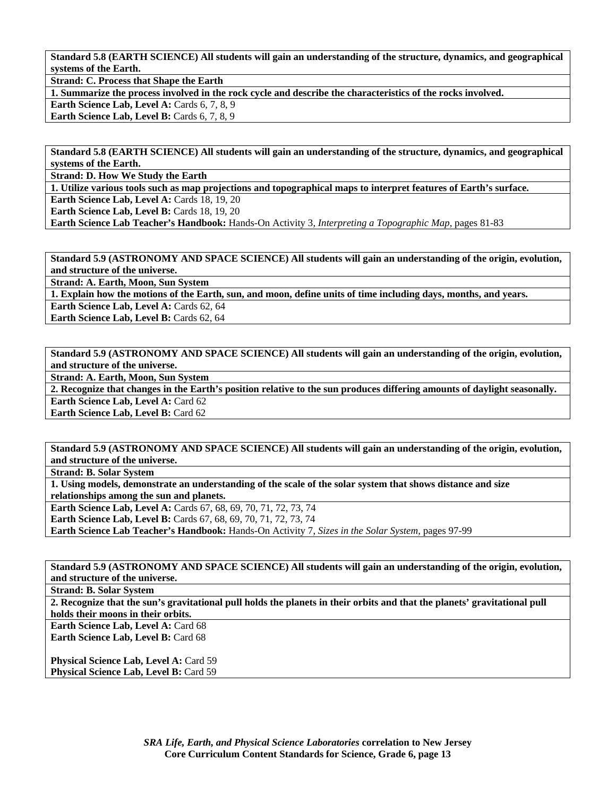**Standard 5.8 (EARTH SCIENCE) All students will gain an understanding of the structure, dynamics, and geographical systems of the Earth.** 

**Strand: C. Process that Shape the Earth** 

**1. Summarize the process involved in the rock cycle and describe the characteristics of the rocks involved.** 

**Earth Science Lab, Level A: Cards 6, 7, 8, 9** 

**Earth Science Lab, Level B:** Cards 6, 7, 8, 9

**Standard 5.8 (EARTH SCIENCE) All students will gain an understanding of the structure, dynamics, and geographical systems of the Earth.** 

**Strand: D. How We Study the Earth** 

**1. Utilize various tools such as map projections and topographical maps to interpret features of Earth's surface.** 

**Earth Science Lab, Level A: Cards 18, 19, 20** 

**Earth Science Lab, Level B: Cards 18, 19, 20** 

**Earth Science Lab Teacher's Handbook:** Hands-On Activity 3, *Interpreting a Topographic Map,* pages 81-83

**Standard 5.9 (ASTRONOMY AND SPACE SCIENCE) All students will gain an understanding of the origin, evolution, and structure of the universe.** 

**Strand: A. Earth, Moon, Sun System** 

**1. Explain how the motions of the Earth, sun, and moon, define units of time including days, months, and years.** 

**Earth Science Lab, Level A: Cards 62, 64** 

**Earth Science Lab, Level B: Cards 62, 64** 

**Standard 5.9 (ASTRONOMY AND SPACE SCIENCE) All students will gain an understanding of the origin, evolution, and structure of the universe.** 

**Strand: A. Earth, Moon, Sun System** 

**2. Recognize that changes in the Earth's position relative to the sun produces differing amounts of daylight seasonally. Earth Science Lab, Level A: Card 62** 

**Earth Science Lab, Level B: Card 62** 

**Standard 5.9 (ASTRONOMY AND SPACE SCIENCE) All students will gain an understanding of the origin, evolution, and structure of the universe.** 

**Strand: B. Solar System** 

**1. Using models, demonstrate an understanding of the scale of the solar system that shows distance and size relationships among the sun and planets.** 

**Earth Science Lab, Level A:** Cards 67, 68, 69, 70, 71, 72, 73, 74

**Earth Science Lab, Level B:** Cards 67, 68, 69, 70, 71, 72, 73, 74

**Earth Science Lab Teacher's Handbook:** Hands-On Activity 7, *Sizes in the Solar System,* pages 97-99

**Standard 5.9 (ASTRONOMY AND SPACE SCIENCE) All students will gain an understanding of the origin, evolution, and structure of the universe.** 

**Strand: B. Solar System** 

**2. Recognize that the sun's gravitational pull holds the planets in their orbits and that the planets' gravitational pull holds their moons in their orbits.** 

Earth Science Lab, Level A: Card 68 **Earth Science Lab, Level B: Card 68** 

**Physical Science Lab, Level A: Card 59** Physical Science Lab, Level B: Card 59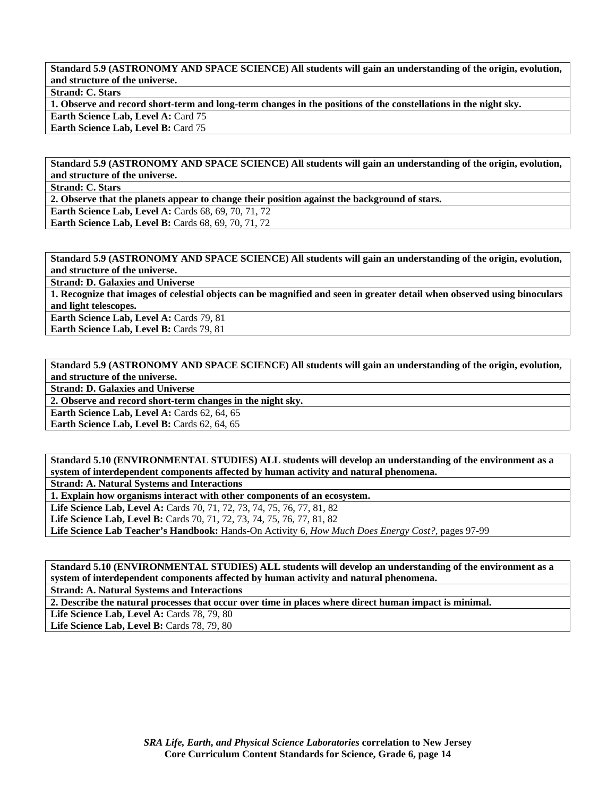**Standard 5.9 (ASTRONOMY AND SPACE SCIENCE) All students will gain an understanding of the origin, evolution, and structure of the universe.** 

**Strand: C. Stars** 

**1. Observe and record short-term and long-term changes in the positions of the constellations in the night sky. Earth Science Lab, Level A: Card 75** 

**Earth Science Lab, Level B: Card 75** 

**Standard 5.9 (ASTRONOMY AND SPACE SCIENCE) All students will gain an understanding of the origin, evolution, and structure of the universe.** 

**Strand: C. Stars** 

**2. Observe that the planets appear to change their position against the background of stars.** 

**Earth Science Lab, Level A: Cards 68, 69, 70, 71, 72** 

**Earth Science Lab, Level B: Cards 68, 69, 70, 71, 72** 

**Standard 5.9 (ASTRONOMY AND SPACE SCIENCE) All students will gain an understanding of the origin, evolution, and structure of the universe.** 

**Strand: D. Galaxies and Universe** 

**1. Recognize that images of celestial objects can be magnified and seen in greater detail when observed using binoculars and light telescopes.** 

**Earth Science Lab, Level A: Cards 79, 81 Earth Science Lab, Level B: Cards 79, 81** 

**Standard 5.9 (ASTRONOMY AND SPACE SCIENCE) All students will gain an understanding of the origin, evolution, and structure of the universe.** 

**Strand: D. Galaxies and Universe** 

**2. Observe and record short-term changes in the night sky.** 

**Earth Science Lab, Level A: Cards 62, 64, 65** 

**Earth Science Lab, Level B: Cards 62, 64, 65** 

**Standard 5.10 (ENVIRONMENTAL STUDIES) ALL students will develop an understanding of the environment as a system of interdependent components affected by human activity and natural phenomena.** 

**Strand: A. Natural Systems and Interactions** 

**1. Explain how organisms interact with other components of an ecosystem.** 

Life Science Lab, Level A: Cards 70, 71, 72, 73, 74, 75, 76, 77, 81, 82

**Life Science Lab, Level B:** Cards 70, 71, 72, 73, 74, 75, 76, 77, 81, 82

**Life Science Lab Teacher's Handbook:** Hands-On Activity 6, *How Much Does Energy Cost?,* pages 97-99

**Standard 5.10 (ENVIRONMENTAL STUDIES) ALL students will develop an understanding of the environment as a system of interdependent components affected by human activity and natural phenomena.** 

**Strand: A. Natural Systems and Interactions** 

**2. Describe the natural processes that occur over time in places where direct human impact is minimal.** 

**Life Science Lab, Level A:** Cards 78, 79, 80

Life Science Lab, Level B: Cards 78, 79, 80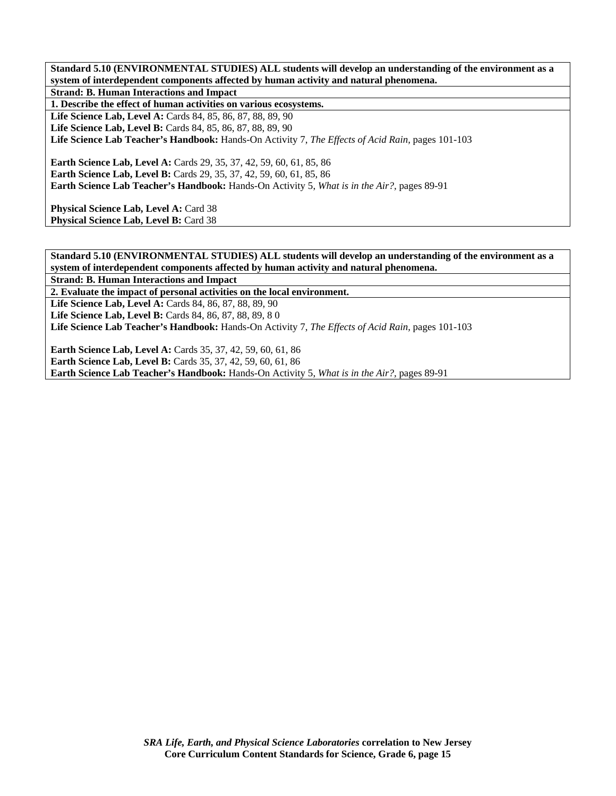**Standard 5.10 (ENVIRONMENTAL STUDIES) ALL students will develop an understanding of the environment as a system of interdependent components affected by human activity and natural phenomena. Strand: B. Human Interactions and Impact** 

**1. Describe the effect of human activities on various ecosystems.** 

**Life Science Lab, Level A:** Cards 84, 85, 86, 87, 88, 89, 90 **Life Science Lab, Level B:** Cards 84, 85, 86, 87, 88, 89, 90 **Life Science Lab Teacher's Handbook:** Hands-On Activity 7, *The Effects of Acid Rain,* pages 101-103

**Earth Science Lab, Level A: Cards 29, 35, 37, 42, 59, 60, 61, 85, 86 Earth Science Lab, Level B:** Cards 29, 35, 37, 42, 59, 60, 61, 85, 86 **Earth Science Lab Teacher's Handbook:** Hands-On Activity 5, *What is in the Air?,* pages 89-91

Physical Science Lab, Level A: Card 38 Physical Science Lab, Level B: Card 38

**Standard 5.10 (ENVIRONMENTAL STUDIES) ALL students will develop an understanding of the environment as a system of interdependent components affected by human activity and natural phenomena. Strand: B. Human Interactions and Impact** 

**2. Evaluate the impact of personal activities on the local environment.** 

**Life Science Lab, Level A:** Cards 84, 86, 87, 88, 89, 90

Life Science Lab, Level B: Cards 84, 86, 87, 88, 89, 80

**Life Science Lab Teacher's Handbook:** Hands-On Activity 7, *The Effects of Acid Rain,* pages 101-103

**Earth Science Lab, Level A: Cards 35, 37, 42, 59, 60, 61, 86 Earth Science Lab, Level B:** Cards 35, 37, 42, 59, 60, 61, 86 **Earth Science Lab Teacher's Handbook:** Hands-On Activity 5, *What is in the Air?,* pages 89-91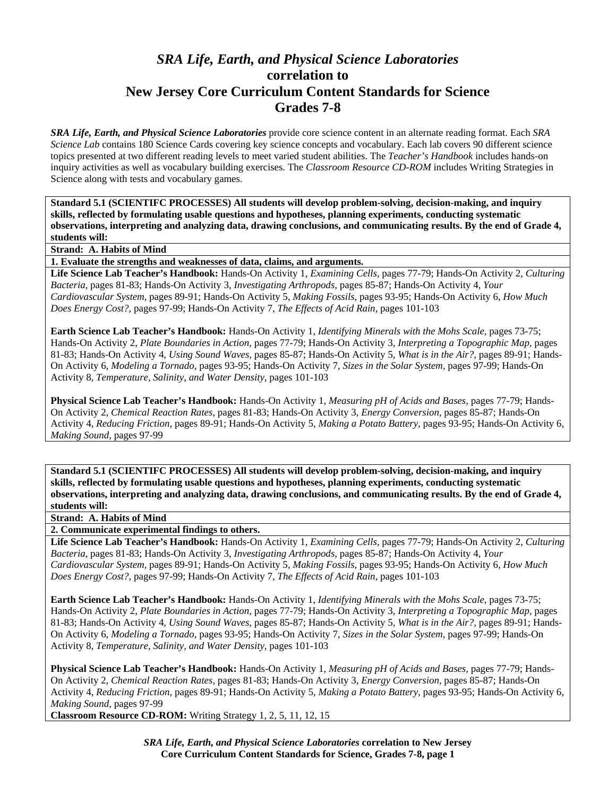## *SRA Life, Earth, and Physical Science Laboratories*  **correlation to New Jersey Core Curriculum Content Standards for Science Grades 7-8**

*SRA Life, Earth, and Physical Science Laboratories* provide core science content in an alternate reading format. Each *SRA Science Lab* contains 180 Science Cards covering key science concepts and vocabulary. Each lab covers 90 different science topics presented at two different reading levels to meet varied student abilities. The *Teacher's Handbook* includes hands-on inquiry activities as well as vocabulary building exercises. The *Classroom Resource CD-ROM* includes Writing Strategies in Science along with tests and vocabulary games.

**Standard 5.1 (SCIENTIFC PROCESSES) All students will develop problem-solving, decision-making, and inquiry skills, reflected by formulating usable questions and hypotheses, planning experiments, conducting systematic observations, interpreting and analyzing data, drawing conclusions, and communicating results. By the end of Grade 4, students will:** 

**Strand: A. Habits of Mind** 

**1. Evaluate the strengths and weaknesses of data, claims, and arguments.** 

**Life Science Lab Teacher's Handbook:** Hands-On Activity 1, *Examining Cells,* pages 77-79; Hands-On Activity 2, *Culturing Bacteria,* pages 81-83; Hands-On Activity 3, *Investigating Arthropods,* pages 85-87; Hands-On Activity 4, *Your Cardiovascular System,* pages 89-91; Hands-On Activity 5, *Making Fossils,* pages 93-95; Hands-On Activity 6, *How Much Does Energy Cost?,* pages 97-99; Hands-On Activity 7, *The Effects of Acid Rain,* pages 101-103

**Earth Science Lab Teacher's Handbook:** Hands-On Activity 1, *Identifying Minerals with the Mohs Scale,* pages 73-75; Hands-On Activity 2, *Plate Boundaries in Action,* pages 77-79; Hands-On Activity 3, *Interpreting a Topographic Map,* pages 81-83; Hands-On Activity 4, *Using Sound Waves,* pages 85-87; Hands-On Activity 5, *What is in the Air?,* pages 89-91; Hands-On Activity 6, *Modeling a Tornado,* pages 93-95; Hands-On Activity 7, *Sizes in the Solar System,* pages 97-99; Hands-On Activity 8, *Temperature, Salinity, and Water Density,* pages 101-103

**Physical Science Lab Teacher's Handbook:** Hands-On Activity 1, *Measuring pH of Acids and Bases,* pages 77-79; Hands-On Activity 2, *Chemical Reaction Rates,* pages 81-83; Hands-On Activity 3, *Energy Conversion,* pages 85-87; Hands-On Activity 4, *Reducing Friction,* pages 89-91; Hands-On Activity 5, *Making a Potato Battery,* pages 93-95; Hands-On Activity 6, *Making Sound,* pages 97-99

**Standard 5.1 (SCIENTIFC PROCESSES) All students will develop problem-solving, decision-making, and inquiry skills, reflected by formulating usable questions and hypotheses, planning experiments, conducting systematic observations, interpreting and analyzing data, drawing conclusions, and communicating results. By the end of Grade 4, students will:** 

**Strand: A. Habits of Mind** 

**2. Communicate experimental findings to others.** 

**Life Science Lab Teacher's Handbook:** Hands-On Activity 1, *Examining Cells,* pages 77-79; Hands-On Activity 2, *Culturing Bacteria,* pages 81-83; Hands-On Activity 3, *Investigating Arthropods,* pages 85-87; Hands-On Activity 4, *Your Cardiovascular System,* pages 89-91; Hands-On Activity 5, *Making Fossils,* pages 93-95; Hands-On Activity 6, *How Much Does Energy Cost?,* pages 97-99; Hands-On Activity 7, *The Effects of Acid Rain,* pages 101-103

**Earth Science Lab Teacher's Handbook:** Hands-On Activity 1, *Identifying Minerals with the Mohs Scale,* pages 73-75; Hands-On Activity 2, *Plate Boundaries in Action,* pages 77-79; Hands-On Activity 3, *Interpreting a Topographic Map,* pages 81-83; Hands-On Activity 4, *Using Sound Waves,* pages 85-87; Hands-On Activity 5, *What is in the Air?,* pages 89-91; Hands-On Activity 6, *Modeling a Tornado,* pages 93-95; Hands-On Activity 7, *Sizes in the Solar System,* pages 97-99; Hands-On Activity 8, *Temperature, Salinity, and Water Density,* pages 101-103

**Physical Science Lab Teacher's Handbook:** Hands-On Activity 1, *Measuring pH of Acids and Bases,* pages 77-79; Hands-On Activity 2, *Chemical Reaction Rates,* pages 81-83; Hands-On Activity 3, *Energy Conversion,* pages 85-87; Hands-On Activity 4, *Reducing Friction,* pages 89-91; Hands-On Activity 5, *Making a Potato Battery,* pages 93-95; Hands-On Activity 6, *Making Sound,* pages 97-99

**Classroom Resource CD-ROM:** Writing Strategy 1, 2, 5, 11, 12, 15

*SRA Life, Earth, and Physical Science Laboratories* **correlation to New Jersey Core Curriculum Content Standards for Science, Grades 7-8, page 1**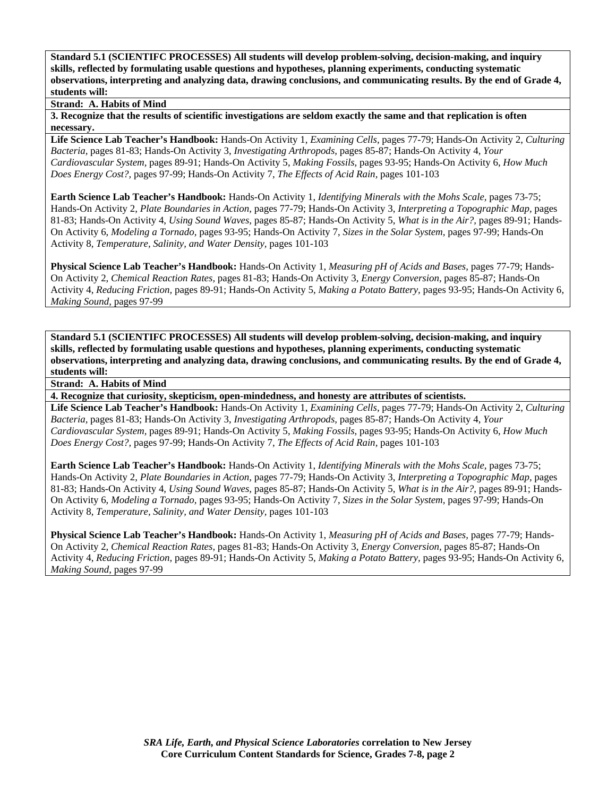**Strand: A. Habits of Mind** 

**3. Recognize that the results of scientific investigations are seldom exactly the same and that replication is often necessary.** 

**Life Science Lab Teacher's Handbook:** Hands-On Activity 1, *Examining Cells,* pages 77-79; Hands-On Activity 2, *Culturing Bacteria,* pages 81-83; Hands-On Activity 3, *Investigating Arthropods,* pages 85-87; Hands-On Activity 4, *Your Cardiovascular System,* pages 89-91; Hands-On Activity 5, *Making Fossils,* pages 93-95; Hands-On Activity 6, *How Much Does Energy Cost?,* pages 97-99; Hands-On Activity 7, *The Effects of Acid Rain,* pages 101-103

**Earth Science Lab Teacher's Handbook:** Hands-On Activity 1, *Identifying Minerals with the Mohs Scale,* pages 73-75; Hands-On Activity 2, *Plate Boundaries in Action,* pages 77-79; Hands-On Activity 3, *Interpreting a Topographic Map,* pages 81-83; Hands-On Activity 4, *Using Sound Waves,* pages 85-87; Hands-On Activity 5, *What is in the Air?,* pages 89-91; Hands-On Activity 6, *Modeling a Tornado,* pages 93-95; Hands-On Activity 7, *Sizes in the Solar System,* pages 97-99; Hands-On Activity 8, *Temperature, Salinity, and Water Density,* pages 101-103

**Physical Science Lab Teacher's Handbook:** Hands-On Activity 1, *Measuring pH of Acids and Bases,* pages 77-79; Hands-On Activity 2, *Chemical Reaction Rates,* pages 81-83; Hands-On Activity 3, *Energy Conversion,* pages 85-87; Hands-On Activity 4, *Reducing Friction,* pages 89-91; Hands-On Activity 5, *Making a Potato Battery,* pages 93-95; Hands-On Activity 6, *Making Sound,* pages 97-99

**Standard 5.1 (SCIENTIFC PROCESSES) All students will develop problem-solving, decision-making, and inquiry skills, reflected by formulating usable questions and hypotheses, planning experiments, conducting systematic observations, interpreting and analyzing data, drawing conclusions, and communicating results. By the end of Grade 4, students will:** 

**Strand: A. Habits of Mind** 

**4. Recognize that curiosity, skepticism, open-mindedness, and honesty are attributes of scientists.** 

**Life Science Lab Teacher's Handbook:** Hands-On Activity 1, *Examining Cells,* pages 77-79; Hands-On Activity 2, *Culturing Bacteria,* pages 81-83; Hands-On Activity 3, *Investigating Arthropods,* pages 85-87; Hands-On Activity 4, *Your Cardiovascular System,* pages 89-91; Hands-On Activity 5, *Making Fossils,* pages 93-95; Hands-On Activity 6, *How Much Does Energy Cost?,* pages 97-99; Hands-On Activity 7, *The Effects of Acid Rain,* pages 101-103

**Earth Science Lab Teacher's Handbook:** Hands-On Activity 1, *Identifying Minerals with the Mohs Scale,* pages 73-75; Hands-On Activity 2, *Plate Boundaries in Action,* pages 77-79; Hands-On Activity 3, *Interpreting a Topographic Map,* pages 81-83; Hands-On Activity 4, *Using Sound Waves,* pages 85-87; Hands-On Activity 5, *What is in the Air?,* pages 89-91; Hands-On Activity 6, *Modeling a Tornado,* pages 93-95; Hands-On Activity 7, *Sizes in the Solar System,* pages 97-99; Hands-On Activity 8, *Temperature, Salinity, and Water Density,* pages 101-103

**Physical Science Lab Teacher's Handbook:** Hands-On Activity 1, *Measuring pH of Acids and Bases,* pages 77-79; Hands-On Activity 2, *Chemical Reaction Rates,* pages 81-83; Hands-On Activity 3, *Energy Conversion,* pages 85-87; Hands-On Activity 4, *Reducing Friction,* pages 89-91; Hands-On Activity 5, *Making a Potato Battery,* pages 93-95; Hands-On Activity 6, *Making Sound,* pages 97-99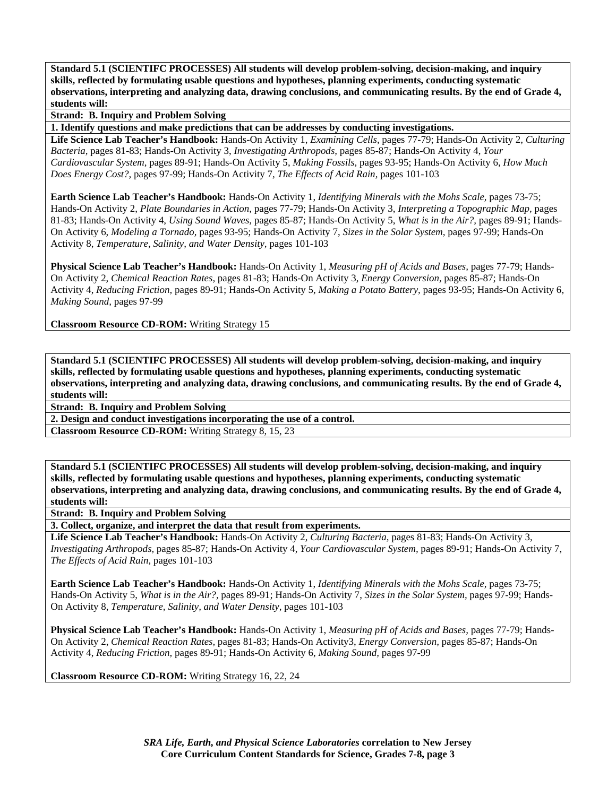**Strand: B. Inquiry and Problem Solving** 

**1. Identify questions and make predictions that can be addresses by conducting investigations.** 

**Life Science Lab Teacher's Handbook:** Hands-On Activity 1, *Examining Cells,* pages 77-79; Hands-On Activity 2, *Culturing Bacteria,* pages 81-83; Hands-On Activity 3, *Investigating Arthropods,* pages 85-87; Hands-On Activity 4, *Your Cardiovascular System,* pages 89-91; Hands-On Activity 5, *Making Fossils,* pages 93-95; Hands-On Activity 6, *How Much Does Energy Cost?,* pages 97-99; Hands-On Activity 7, *The Effects of Acid Rain,* pages 101-103

**Earth Science Lab Teacher's Handbook:** Hands-On Activity 1, *Identifying Minerals with the Mohs Scale,* pages 73-75; Hands-On Activity 2, *Plate Boundaries in Action,* pages 77-79; Hands-On Activity 3, *Interpreting a Topographic Map,* pages 81-83; Hands-On Activity 4, *Using Sound Waves,* pages 85-87; Hands-On Activity 5, *What is in the Air?,* pages 89-91; Hands-On Activity 6, *Modeling a Tornado,* pages 93-95; Hands-On Activity 7, *Sizes in the Solar System,* pages 97-99; Hands-On Activity 8, *Temperature, Salinity, and Water Density,* pages 101-103

**Physical Science Lab Teacher's Handbook:** Hands-On Activity 1, *Measuring pH of Acids and Bases,* pages 77-79; Hands-On Activity 2, *Chemical Reaction Rates,* pages 81-83; Hands-On Activity 3, *Energy Conversion,* pages 85-87; Hands-On Activity 4, *Reducing Friction,* pages 89-91; Hands-On Activity 5, *Making a Potato Battery,* pages 93-95; Hands-On Activity 6, *Making Sound,* pages 97-99

**Classroom Resource CD-ROM:** Writing Strategy 15

**Standard 5.1 (SCIENTIFC PROCESSES) All students will develop problem-solving, decision-making, and inquiry skills, reflected by formulating usable questions and hypotheses, planning experiments, conducting systematic observations, interpreting and analyzing data, drawing conclusions, and communicating results. By the end of Grade 4, students will:** 

**Strand: B. Inquiry and Problem Solving** 

**2. Design and conduct investigations incorporating the use of a control.** 

**Classroom Resource CD-ROM:** Writing Strategy 8, 15, 23

**Standard 5.1 (SCIENTIFC PROCESSES) All students will develop problem-solving, decision-making, and inquiry skills, reflected by formulating usable questions and hypotheses, planning experiments, conducting systematic observations, interpreting and analyzing data, drawing conclusions, and communicating results. By the end of Grade 4, students will:** 

**Strand: B. Inquiry and Problem Solving** 

**3. Collect, organize, and interpret the data that result from experiments.** 

**Life Science Lab Teacher's Handbook:** Hands-On Activity 2, *Culturing Bacteria,* pages 81-83; Hands-On Activity 3, *Investigating Arthropods,* pages 85-87; Hands-On Activity 4, *Your Cardiovascular System,* pages 89-91; Hands-On Activity 7, *The Effects of Acid Rain,* pages 101-103

**Earth Science Lab Teacher's Handbook:** Hands-On Activity 1, *Identifying Minerals with the Mohs Scale,* pages 73-75; Hands-On Activity 5, *What is in the Air?,* pages 89-91; Hands-On Activity 7, *Sizes in the Solar System,* pages 97-99; Hands-On Activity 8, *Temperature, Salinity, and Water Density,* pages 101-103

**Physical Science Lab Teacher's Handbook:** Hands-On Activity 1, *Measuring pH of Acids and Bases,* pages 77-79; Hands-On Activity 2, *Chemical Reaction Rates,* pages 81-83; Hands-On Activity3, *Energy Conversion,* pages 85-87; Hands-On Activity 4, *Reducing Friction,* pages 89-91; Hands-On Activity 6, *Making Sound,* pages 97-99

**Classroom Resource CD-ROM:** Writing Strategy 16, 22, 24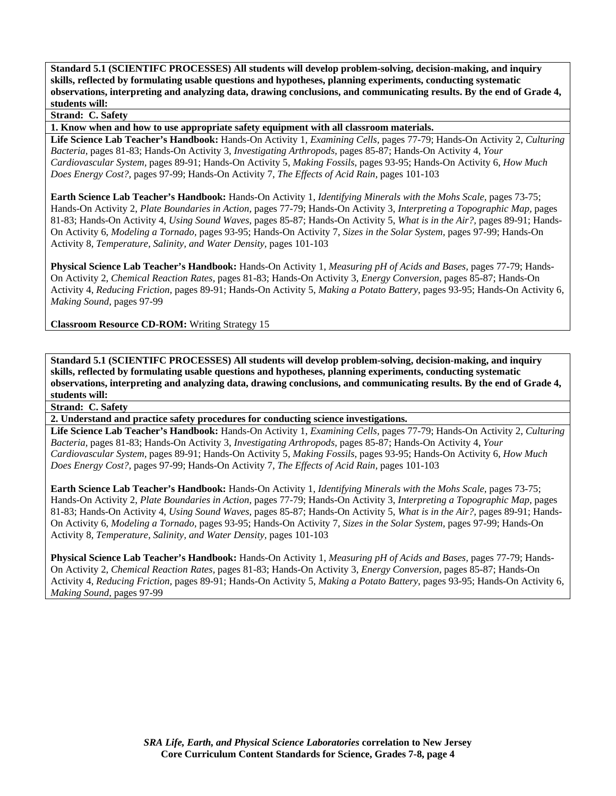## **Strand: C. Safety**

**1. Know when and how to use appropriate safety equipment with all classroom materials.** 

**Life Science Lab Teacher's Handbook:** Hands-On Activity 1, *Examining Cells,* pages 77-79; Hands-On Activity 2, *Culturing Bacteria,* pages 81-83; Hands-On Activity 3, *Investigating Arthropods,* pages 85-87; Hands-On Activity 4, *Your Cardiovascular System,* pages 89-91; Hands-On Activity 5, *Making Fossils,* pages 93-95; Hands-On Activity 6, *How Much Does Energy Cost?,* pages 97-99; Hands-On Activity 7, *The Effects of Acid Rain,* pages 101-103

**Earth Science Lab Teacher's Handbook:** Hands-On Activity 1, *Identifying Minerals with the Mohs Scale,* pages 73-75; Hands-On Activity 2, *Plate Boundaries in Action,* pages 77-79; Hands-On Activity 3, *Interpreting a Topographic Map,* pages 81-83; Hands-On Activity 4, *Using Sound Waves,* pages 85-87; Hands-On Activity 5, *What is in the Air?,* pages 89-91; Hands-On Activity 6, *Modeling a Tornado,* pages 93-95; Hands-On Activity 7, *Sizes in the Solar System,* pages 97-99; Hands-On Activity 8, *Temperature, Salinity, and Water Density,* pages 101-103

**Physical Science Lab Teacher's Handbook:** Hands-On Activity 1, *Measuring pH of Acids and Bases,* pages 77-79; Hands-On Activity 2, *Chemical Reaction Rates,* pages 81-83; Hands-On Activity 3, *Energy Conversion,* pages 85-87; Hands-On Activity 4, *Reducing Friction,* pages 89-91; Hands-On Activity 5, *Making a Potato Battery,* pages 93-95; Hands-On Activity 6, *Making Sound,* pages 97-99

**Classroom Resource CD-ROM:** Writing Strategy 15

**Standard 5.1 (SCIENTIFC PROCESSES) All students will develop problem-solving, decision-making, and inquiry skills, reflected by formulating usable questions and hypotheses, planning experiments, conducting systematic observations, interpreting and analyzing data, drawing conclusions, and communicating results. By the end of Grade 4, students will:** 

**Strand: C. Safety** 

**2. Understand and practice safety procedures for conducting science investigations.** 

**Life Science Lab Teacher's Handbook:** Hands-On Activity 1, *Examining Cells,* pages 77-79; Hands-On Activity 2, *Culturing Bacteria,* pages 81-83; Hands-On Activity 3, *Investigating Arthropods,* pages 85-87; Hands-On Activity 4, *Your Cardiovascular System,* pages 89-91; Hands-On Activity 5, *Making Fossils,* pages 93-95; Hands-On Activity 6, *How Much Does Energy Cost?,* pages 97-99; Hands-On Activity 7, *The Effects of Acid Rain,* pages 101-103

**Earth Science Lab Teacher's Handbook:** Hands-On Activity 1, *Identifying Minerals with the Mohs Scale,* pages 73-75; Hands-On Activity 2, *Plate Boundaries in Action,* pages 77-79; Hands-On Activity 3, *Interpreting a Topographic Map,* pages 81-83; Hands-On Activity 4, *Using Sound Waves,* pages 85-87; Hands-On Activity 5, *What is in the Air?,* pages 89-91; Hands-On Activity 6, *Modeling a Tornado,* pages 93-95; Hands-On Activity 7, *Sizes in the Solar System,* pages 97-99; Hands-On Activity 8, *Temperature, Salinity, and Water Density,* pages 101-103

**Physical Science Lab Teacher's Handbook:** Hands-On Activity 1, *Measuring pH of Acids and Bases,* pages 77-79; Hands-On Activity 2, *Chemical Reaction Rates,* pages 81-83; Hands-On Activity 3, *Energy Conversion,* pages 85-87; Hands-On Activity 4, *Reducing Friction,* pages 89-91; Hands-On Activity 5, *Making a Potato Battery,* pages 93-95; Hands-On Activity 6, *Making Sound,* pages 97-99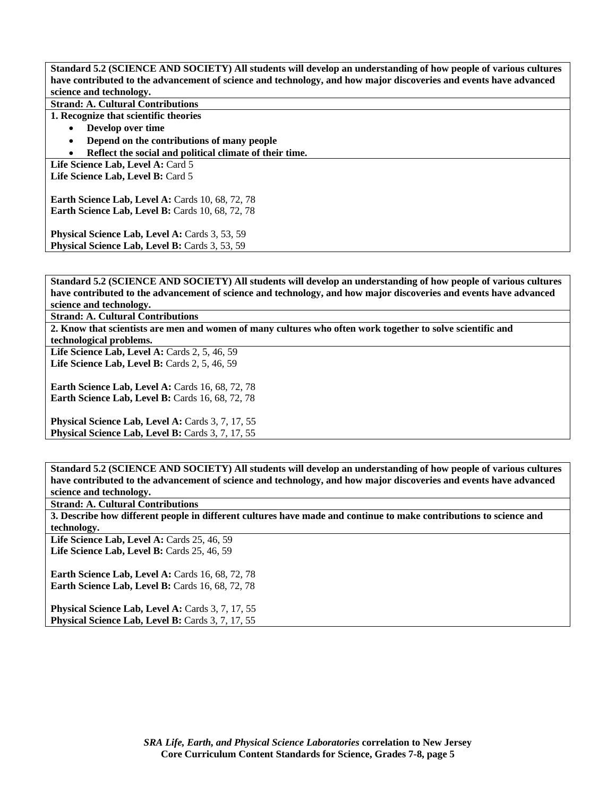**Standard 5.2 (SCIENCE AND SOCIETY) All students will develop an understanding of how people of various cultures have contributed to the advancement of science and technology, and how major discoveries and events have advanced science and technology.** 

**Strand: A. Cultural Contributions** 

**1. Recognize that scientific theories** 

- **Develop over time**
- **Depend on the contributions of many people**
- **Reflect the social and political climate of their time.**

Life Science Lab, Level A: Card 5 Life Science Lab. Level B: Card 5

**Earth Science Lab, Level A: Cards 10, 68, 72, 78 Earth Science Lab, Level B: Cards 10, 68, 72, 78** 

**Physical Science Lab, Level A: Cards 3, 53, 59** Physical Science Lab, Level B: Cards 3, 53, 59

**Standard 5.2 (SCIENCE AND SOCIETY) All students will develop an understanding of how people of various cultures have contributed to the advancement of science and technology, and how major discoveries and events have advanced science and technology.** 

**Strand: A. Cultural Contributions** 

**2. Know that scientists are men and women of many cultures who often work together to solve scientific and technological problems.** 

Life Science Lab, Level A: Cards 2, 5, 46, 59 Life Science Lab, Level B: Cards 2, 5, 46, 59

**Earth Science Lab, Level A: Cards 16, 68, 72, 78 Earth Science Lab, Level B: Cards 16, 68, 72, 78** 

Physical Science Lab, Level A: Cards 3, 7, 17, 55 Physical Science Lab, Level B: Cards 3, 7, 17, 55

**Standard 5.2 (SCIENCE AND SOCIETY) All students will develop an understanding of how people of various cultures have contributed to the advancement of science and technology, and how major discoveries and events have advanced science and technology.** 

**Strand: A. Cultural Contributions** 

**3. Describe how different people in different cultures have made and continue to make contributions to science and technology.** 

Life Science Lab, Level A: Cards 25, 46, 59 **Life Science Lab, Level B: Cards 25, 46, 59** 

**Earth Science Lab, Level A: Cards 16, 68, 72, 78 Earth Science Lab, Level B:** Cards 16, 68, 72, 78

Physical Science Lab, Level A: Cards 3, 7, 17, 55 Physical Science Lab, Level B: Cards 3, 7, 17, 55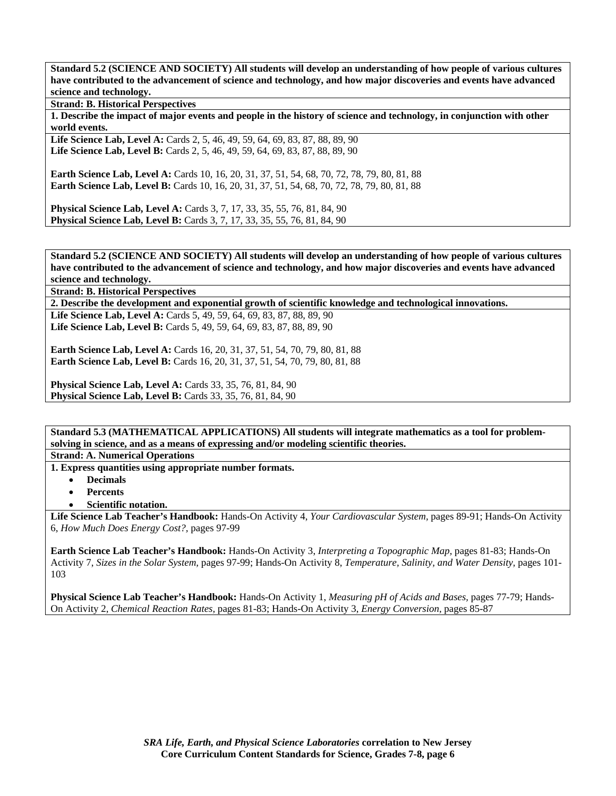**Standard 5.2 (SCIENCE AND SOCIETY) All students will develop an understanding of how people of various cultures have contributed to the advancement of science and technology, and how major discoveries and events have advanced science and technology.** 

**Strand: B. Historical Perspectives** 

**1. Describe the impact of major events and people in the history of science and technology, in conjunction with other world events.** 

Life Science Lab, Level A: Cards 2, 5, 46, 49, 59, 64, 69, 83, 87, 88, 89, 90 **Life Science Lab, Level B:** Cards 2, 5, 46, 49, 59, 64, 69, 83, 87, 88, 89, 90

**Earth Science Lab, Level A: Cards 10, 16, 20, 31, 37, 51, 54, 68, 70, 72, 78, 79, 80, 81, 88 Earth Science Lab, Level B:** Cards 10, 16, 20, 31, 37, 51, 54, 68, 70, 72, 78, 79, 80, 81, 88

**Physical Science Lab, Level A:** Cards 3, 7, 17, 33, 35, 55, 76, 81, 84, 90 **Physical Science Lab, Level B:** Cards 3, 7, 17, 33, 35, 55, 76, 81, 84, 90

**Standard 5.2 (SCIENCE AND SOCIETY) All students will develop an understanding of how people of various cultures have contributed to the advancement of science and technology, and how major discoveries and events have advanced science and technology.** 

**Strand: B. Historical Perspectives** 

**2. Describe the development and exponential growth of scientific knowledge and technological innovations.** 

Life Science Lab, Level A: Cards 5, 49, 59, 64, 69, 83, 87, 88, 89, 90 Life Science Lab, Level B: Cards 5, 49, 59, 64, 69, 83, 87, 88, 89, 90

**Earth Science Lab, Level A:** Cards 16, 20, 31, 37, 51, 54, 70, 79, 80, 81, 88 **Earth Science Lab, Level B:** Cards 16, 20, 31, 37, 51, 54, 70, 79, 80, 81, 88

**Physical Science Lab, Level A: Cards 33, 35, 76, 81, 84, 90 Physical Science Lab, Level B:** Cards 33, 35, 76, 81, 84, 90

**Standard 5.3 (MATHEMATICAL APPLICATIONS) All students will integrate mathematics as a tool for problemsolving in science, and as a means of expressing and/or modeling scientific theories.** 

**Strand: A. Numerical Operations** 

**1. Express quantities using appropriate number formats.** 

- **Decimals**
- **Percents**
- **Scientific notation.**

**Life Science Lab Teacher's Handbook:** Hands-On Activity 4, *Your Cardiovascular System,* pages 89-91; Hands-On Activity 6, *How Much Does Energy Cost?,* pages 97-99

**Earth Science Lab Teacher's Handbook:** Hands-On Activity 3, *Interpreting a Topographic Map,* pages 81-83; Hands-On Activity 7, *Sizes in the Solar System,* pages 97-99; Hands-On Activity 8, *Temperature, Salinity, and Water Density,* pages 101- 103

**Physical Science Lab Teacher's Handbook:** Hands-On Activity 1, *Measuring pH of Acids and Bases,* pages 77-79; Hands-On Activity 2, *Chemical Reaction Rates,* pages 81-83; Hands-On Activity 3, *Energy Conversion,* pages 85-87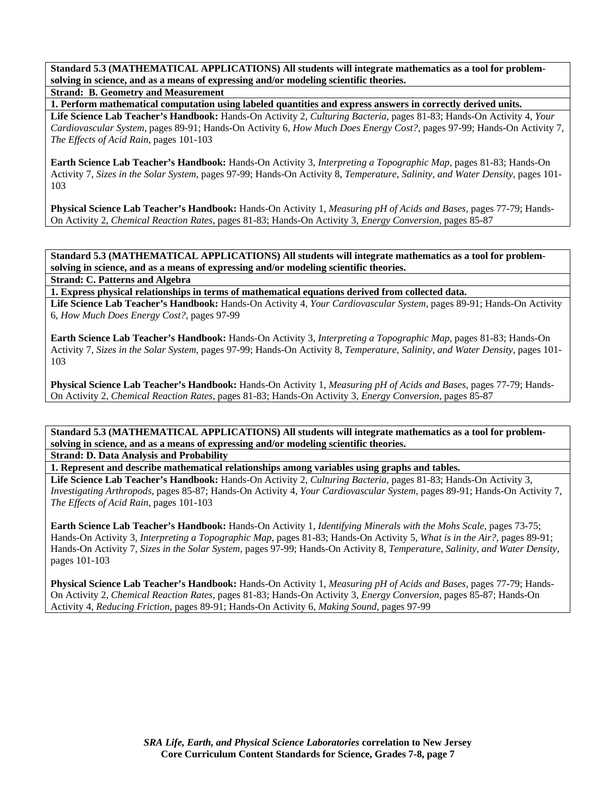**Standard 5.3 (MATHEMATICAL APPLICATIONS) All students will integrate mathematics as a tool for problemsolving in science, and as a means of expressing and/or modeling scientific theories.** 

**Strand: B. Geometry and Measurement** 

**1. Perform mathematical computation using labeled quantities and express answers in correctly derived units.** 

**Life Science Lab Teacher's Handbook:** Hands-On Activity 2, *Culturing Bacteria,* pages 81-83; Hands-On Activity 4, *Your Cardiovascular System,* pages 89-91; Hands-On Activity 6, *How Much Does Energy Cost?,* pages 97-99; Hands-On Activity 7, *The Effects of Acid Rain,* pages 101-103

**Earth Science Lab Teacher's Handbook:** Hands-On Activity 3, *Interpreting a Topographic Map,* pages 81-83; Hands-On Activity 7, *Sizes in the Solar System,* pages 97-99; Hands-On Activity 8, *Temperature, Salinity, and Water Density,* pages 101- 103

**Physical Science Lab Teacher's Handbook:** Hands-On Activity 1, *Measuring pH of Acids and Bases,* pages 77-79; Hands-On Activity 2, *Chemical Reaction Rates,* pages 81-83; Hands-On Activity 3, *Energy Conversion,* pages 85-87

**Standard 5.3 (MATHEMATICAL APPLICATIONS) All students will integrate mathematics as a tool for problemsolving in science, and as a means of expressing and/or modeling scientific theories.** 

**Strand: C. Patterns and Algebra** 

**1. Express physical relationships in terms of mathematical equations derived from collected data. Life Science Lab Teacher's Handbook:** Hands-On Activity 4, *Your Cardiovascular System,* pages 89-91; Hands-On Activity 6, *How Much Does Energy Cost?,* pages 97-99

**Earth Science Lab Teacher's Handbook:** Hands-On Activity 3, *Interpreting a Topographic Map,* pages 81-83; Hands-On Activity 7, *Sizes in the Solar System,* pages 97-99; Hands-On Activity 8, *Temperature, Salinity, and Water Density,* pages 101- 103

**Physical Science Lab Teacher's Handbook:** Hands-On Activity 1, *Measuring pH of Acids and Bases,* pages 77-79; Hands-On Activity 2, *Chemical Reaction Rates,* pages 81-83; Hands-On Activity 3, *Energy Conversion,* pages 85-87

**Standard 5.3 (MATHEMATICAL APPLICATIONS) All students will integrate mathematics as a tool for problemsolving in science, and as a means of expressing and/or modeling scientific theories.** 

**Strand: D. Data Analysis and Probability** 

**1. Represent and describe mathematical relationships among variables using graphs and tables.** 

**Life Science Lab Teacher's Handbook:** Hands-On Activity 2, *Culturing Bacteria,* pages 81-83; Hands-On Activity 3, *Investigating Arthropods,* pages 85-87; Hands-On Activity 4, *Your Cardiovascular System,* pages 89-91; Hands-On Activity 7, *The Effects of Acid Rain,* pages 101-103

**Earth Science Lab Teacher's Handbook:** Hands-On Activity 1, *Identifying Minerals with the Mohs Scale,* pages 73-75; Hands-On Activity 3, *Interpreting a Topographic Map,* pages 81-83; Hands-On Activity 5, *What is in the Air?,* pages 89-91; Hands-On Activity 7, *Sizes in the Solar System,* pages 97-99; Hands-On Activity 8, *Temperature, Salinity, and Water Density,* pages 101-103

**Physical Science Lab Teacher's Handbook:** Hands-On Activity 1, *Measuring pH of Acids and Bases,* pages 77-79; Hands-On Activity 2, *Chemical Reaction Rates,* pages 81-83; Hands-On Activity 3, *Energy Conversion,* pages 85-87; Hands-On Activity 4, *Reducing Friction,* pages 89-91; Hands-On Activity 6, *Making Sound,* pages 97-99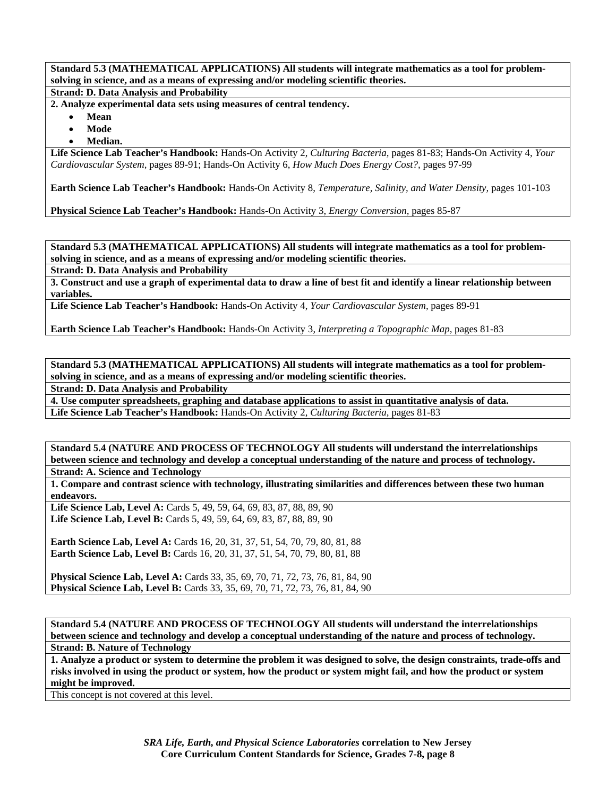**Standard 5.3 (MATHEMATICAL APPLICATIONS) All students will integrate mathematics as a tool for problemsolving in science, and as a means of expressing and/or modeling scientific theories.** 

**Strand: D. Data Analysis and Probability** 

**2. Analyze experimental data sets using measures of central tendency.** 

- **Mean**
- **Mode**
- **Median.**

**Life Science Lab Teacher's Handbook:** Hands-On Activity 2, *Culturing Bacteria,* pages 81-83; Hands-On Activity 4, *Your Cardiovascular System,* pages 89-91; Hands-On Activity 6, *How Much Does Energy Cost?,* pages 97-99

**Earth Science Lab Teacher's Handbook:** Hands-On Activity 8, *Temperature, Salinity, and Water Density,* pages 101-103

**Physical Science Lab Teacher's Handbook:** Hands-On Activity 3, *Energy Conversion,* pages 85-87

**Standard 5.3 (MATHEMATICAL APPLICATIONS) All students will integrate mathematics as a tool for problemsolving in science, and as a means of expressing and/or modeling scientific theories.** 

**Strand: D. Data Analysis and Probability** 

**3. Construct and use a graph of experimental data to draw a line of best fit and identify a linear relationship between variables.** 

**Life Science Lab Teacher's Handbook:** Hands-On Activity 4, *Your Cardiovascular System,* pages 89-91

**Earth Science Lab Teacher's Handbook:** Hands-On Activity 3, *Interpreting a Topographic Map,* pages 81-83

**Standard 5.3 (MATHEMATICAL APPLICATIONS) All students will integrate mathematics as a tool for problemsolving in science, and as a means of expressing and/or modeling scientific theories.** 

**Strand: D. Data Analysis and Probability** 

**4. Use computer spreadsheets, graphing and database applications to assist in quantitative analysis of data. Life Science Lab Teacher's Handbook:** Hands-On Activity 2, *Culturing Bacteria,* pages 81-83

**Standard 5.4 (NATURE AND PROCESS OF TECHNOLOGY All students will understand the interrelationships between science and technology and develop a conceptual understanding of the nature and process of technology. Strand: A. Science and Technology** 

**1. Compare and contrast science with technology, illustrating similarities and differences between these two human endeavors.** 

Life Science Lab, Level A: Cards 5, 49, 59, 64, 69, 83, 87, 88, 89, 90 Life Science Lab, Level B: Cards 5, 49, 59, 64, 69, 83, 87, 88, 89, 90

**Earth Science Lab, Level A:** Cards 16, 20, 31, 37, 51, 54, 70, 79, 80, 81, 88 **Earth Science Lab, Level B:** Cards 16, 20, 31, 37, 51, 54, 70, 79, 80, 81, 88

**Physical Science Lab, Level A:** Cards 33, 35, 69, 70, 71, 72, 73, 76, 81, 84, 90 **Physical Science Lab, Level B:** Cards 33, 35, 69, 70, 71, 72, 73, 76, 81, 84, 90

**Standard 5.4 (NATURE AND PROCESS OF TECHNOLOGY All students will understand the interrelationships between science and technology and develop a conceptual understanding of the nature and process of technology. Strand: B. Nature of Technology** 

**1. Analyze a product or system to determine the problem it was designed to solve, the design constraints, trade-offs and risks involved in using the product or system, how the product or system might fail, and how the product or system might be improved.** 

This concept is not covered at this level.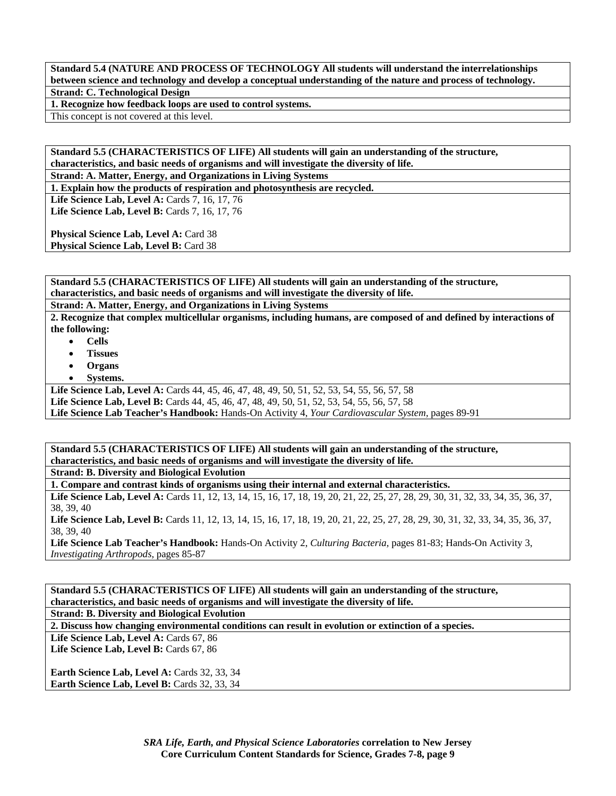**Standard 5.4 (NATURE AND PROCESS OF TECHNOLOGY All students will understand the interrelationships between science and technology and develop a conceptual understanding of the nature and process of technology. Strand: C. Technological Design** 

**1. Recognize how feedback loops are used to control systems.** 

This concept is not covered at this level.

**Standard 5.5 (CHARACTERISTICS OF LIFE) All students will gain an understanding of the structure, characteristics, and basic needs of organisms and will investigate the diversity of life.** 

**Strand: A. Matter, Energy, and Organizations in Living Systems** 

**1. Explain how the products of respiration and photosynthesis are recycled.** 

Life Science Lab, Level A: Cards 7, 16, 17, 76 Life Science Lab, Level B: Cards 7, 16, 17, 76

**Physical Science Lab, Level A: Card 38** Physical Science Lab, Level B: Card 38

**Standard 5.5 (CHARACTERISTICS OF LIFE) All students will gain an understanding of the structure, characteristics, and basic needs of organisms and will investigate the diversity of life.** 

**Strand: A. Matter, Energy, and Organizations in Living Systems** 

**2. Recognize that complex multicellular organisms, including humans, are composed of and defined by interactions of the following:** 

- **Cells**
- **Tissues**
- **Organs**
- **Systems.**

**Life Science Lab, Level A:** Cards 44, 45, 46, 47, 48, 49, 50, 51, 52, 53, 54, 55, 56, 57, 58

**Life Science Lab, Level B:** Cards 44, 45, 46, 47, 48, 49, 50, 51, 52, 53, 54, 55, 56, 57, 58

**Life Science Lab Teacher's Handbook:** Hands-On Activity 4, *Your Cardiovascular System,* pages 89-91

**Standard 5.5 (CHARACTERISTICS OF LIFE) All students will gain an understanding of the structure, characteristics, and basic needs of organisms and will investigate the diversity of life.** 

**Strand: B. Diversity and Biological Evolution** 

**1. Compare and contrast kinds of organisms using their internal and external characteristics.** 

Life Science Lab, Level A: Cards 11, 12, 13, 14, 15, 16, 17, 18, 19, 20, 21, 22, 25, 27, 28, 29, 30, 31, 32, 33, 34, 35, 36, 37, 38, 39, 40

Life Science Lab, Level B: Cards 11, 12, 13, 14, 15, 16, 17, 18, 19, 20, 21, 22, 25, 27, 28, 29, 30, 31, 32, 33, 34, 35, 36, 37, 38, 39, 40

**Life Science Lab Teacher's Handbook:** Hands-On Activity 2, *Culturing Bacteria,* pages 81-83; Hands-On Activity 3, *Investigating Arthropods,* pages 85-87

**Standard 5.5 (CHARACTERISTICS OF LIFE) All students will gain an understanding of the structure, characteristics, and basic needs of organisms and will investigate the diversity of life.** 

**Strand: B. Diversity and Biological Evolution** 

**2. Discuss how changing environmental conditions can result in evolution or extinction of a species.** 

Life Science Lab, Level A: Cards 67, 86 Life Science Lab, Level B: Cards 67, 86

**Earth Science Lab, Level A: Cards 32, 33, 34 Earth Science Lab, Level B: Cards 32, 33, 34**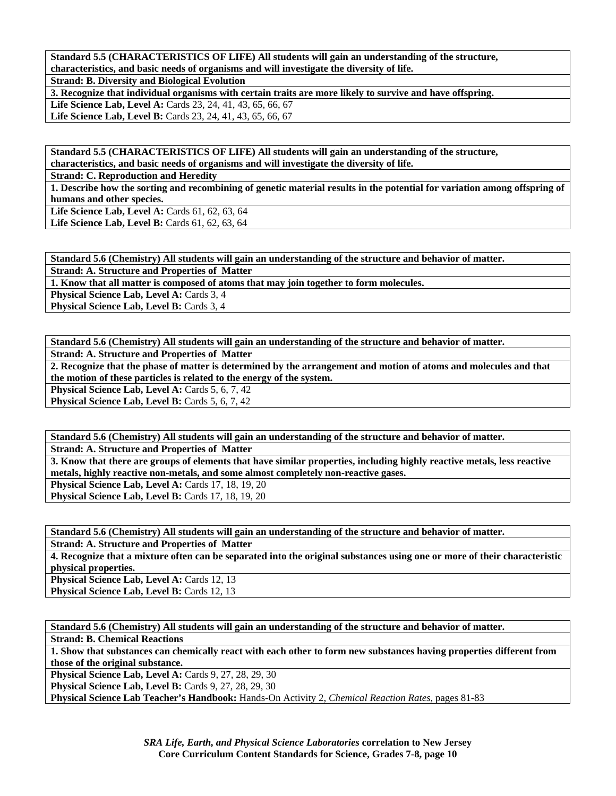**Standard 5.5 (CHARACTERISTICS OF LIFE) All students will gain an understanding of the structure, characteristics, and basic needs of organisms and will investigate the diversity of life.** 

**Strand: B. Diversity and Biological Evolution** 

**3. Recognize that individual organisms with certain traits are more likely to survive and have offspring.** 

**Life Science Lab, Level A:** Cards 23, 24, 41, 43, 65, 66, 67 **Life Science Lab, Level B:** Cards 23, 24, 41, 43, 65, 66, 67

**Standard 5.5 (CHARACTERISTICS OF LIFE) All students will gain an understanding of the structure, characteristics, and basic needs of organisms and will investigate the diversity of life.** 

**Strand: C. Reproduction and Heredity** 

**1. Describe how the sorting and recombining of genetic material results in the potential for variation among offspring of humans and other species.** 

Life Science Lab, Level A: Cards 61, 62, 63, 64 Life Science Lab, Level B: Cards 61, 62, 63, 64

**Standard 5.6 (Chemistry) All students will gain an understanding of the structure and behavior of matter.** 

**Strand: A. Structure and Properties of Matter** 

**1. Know that all matter is composed of atoms that may join together to form molecules.** 

**Physical Science Lab, Level A: Cards 3, 4** 

**Physical Science Lab, Level B: Cards 3, 4** 

**Standard 5.6 (Chemistry) All students will gain an understanding of the structure and behavior of matter.** 

**Strand: A. Structure and Properties of Matter** 

**2. Recognize that the phase of matter is determined by the arrangement and motion of atoms and molecules and that the motion of these particles is related to the energy of the system.** 

**Physical Science Lab, Level A: Cards 5, 6, 7, 42** 

**Physical Science Lab, Level B: Cards 5, 6, 7, 42** 

**Standard 5.6 (Chemistry) All students will gain an understanding of the structure and behavior of matter. Strand: A. Structure and Properties of Matter** 

**3. Know that there are groups of elements that have similar properties, including highly reactive metals, less reactive metals, highly reactive non-metals, and some almost completely non-reactive gases.** 

**Physical Science Lab, Level A:** Cards 17, 18, 19, 20

**Physical Science Lab, Level B: Cards 17, 18, 19, 20** 

**Standard 5.6 (Chemistry) All students will gain an understanding of the structure and behavior of matter. Strand: A. Structure and Properties of Matter** 

**4. Recognize that a mixture often can be separated into the original substances using one or more of their characteristic physical properties.** 

Physical Science Lab, Level A: Cards 12, 13 Physical Science Lab, Level B: Cards 12, 13

**Standard 5.6 (Chemistry) All students will gain an understanding of the structure and behavior of matter.** 

**Strand: B. Chemical Reactions** 

**1. Show that substances can chemically react with each other to form new substances having properties different from those of the original substance.** 

Physical Science Lab, Level A: Cards 9, 27, 28, 29, 30

**Physical Science Lab, Level B: Cards 9, 27, 28, 29, 30** 

**Physical Science Lab Teacher's Handbook:** Hands-On Activity 2, *Chemical Reaction Rates,* pages 81-83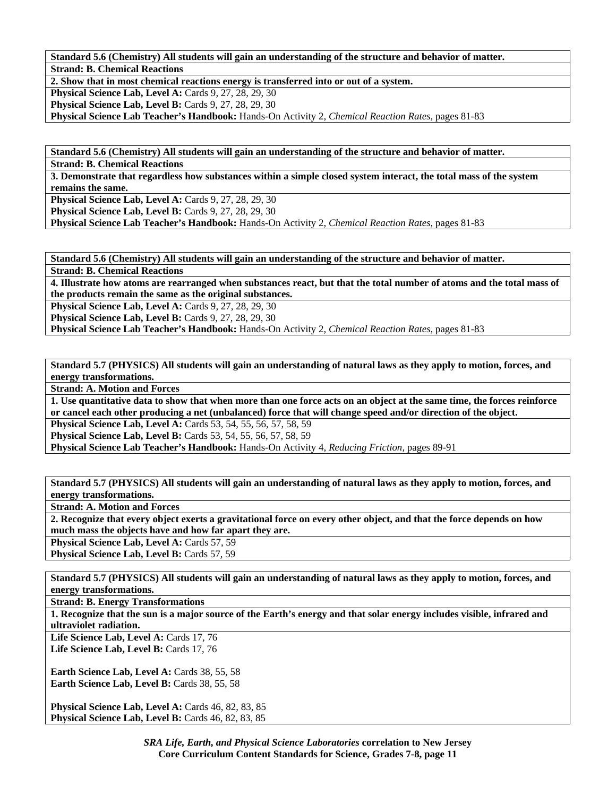**Standard 5.6 (Chemistry) All students will gain an understanding of the structure and behavior of matter. Strand: B. Chemical Reactions** 

**2. Show that in most chemical reactions energy is transferred into or out of a system.** 

**Physical Science Lab, Level A: Cards 9, 27, 28, 29, 30** 

**Physical Science Lab, Level B:** Cards 9, 27, 28, 29, 30

**Physical Science Lab Teacher's Handbook:** Hands-On Activity 2, *Chemical Reaction Rates,* pages 81-83

**Standard 5.6 (Chemistry) All students will gain an understanding of the structure and behavior of matter. Strand: B. Chemical Reactions** 

**3. Demonstrate that regardless how substances within a simple closed system interact, the total mass of the system remains the same.** 

**Physical Science Lab, Level A: Cards 9, 27, 28, 29, 30** 

**Physical Science Lab, Level B: Cards 9, 27, 28, 29, 30** 

**Physical Science Lab Teacher's Handbook:** Hands-On Activity 2, *Chemical Reaction Rates,* pages 81-83

**Standard 5.6 (Chemistry) All students will gain an understanding of the structure and behavior of matter.** 

**Strand: B. Chemical Reactions** 

**4. Illustrate how atoms are rearranged when substances react, but that the total number of atoms and the total mass of the products remain the same as the original substances.** 

**Physical Science Lab, Level A: Cards 9, 27, 28, 29, 30** 

**Physical Science Lab, Level B: Cards 9, 27, 28, 29, 30** 

**Physical Science Lab Teacher's Handbook:** Hands-On Activity 2, *Chemical Reaction Rates,* pages 81-83

**Standard 5.7 (PHYSICS) All students will gain an understanding of natural laws as they apply to motion, forces, and energy transformations.** 

**Strand: A. Motion and Forces** 

**1. Use quantitative data to show that when more than one force acts on an object at the same time, the forces reinforce or cancel each other producing a net (unbalanced) force that will change speed and/or direction of the object. Physical Science Lab, Level A:** Cards 53, 54, 55, 56, 57, 58, 59 **Physical Science Lab, Level B:** Cards 53, 54, 55, 56, 57, 58, 59

**Physical Science Lab Teacher's Handbook:** Hands-On Activity 4, *Reducing Friction,* pages 89-91

**Standard 5.7 (PHYSICS) All students will gain an understanding of natural laws as they apply to motion, forces, and energy transformations.** 

**Strand: A. Motion and Forces** 

**2. Recognize that every object exerts a gravitational force on every other object, and that the force depends on how much mass the objects have and how far apart they are.** 

**Physical Science Lab, Level A: Cards 57, 59** 

**Physical Science Lab, Level B: Cards 57, 59** 

**Standard 5.7 (PHYSICS) All students will gain an understanding of natural laws as they apply to motion, forces, and energy transformations.** 

**Strand: B. Energy Transformations** 

**1. Recognize that the sun is a major source of the Earth's energy and that solar energy includes visible, infrared and ultraviolet radiation.** 

Life Science Lab, Level A: Cards 17, 76 Life Science Lab, Level B: Cards 17, 76

**Earth Science Lab, Level A: Cards 38, 55, 58 Earth Science Lab, Level B: Cards 38, 55, 58** 

Physical Science Lab, Level A: Cards 46, 82, 83, 85 **Physical Science Lab, Level B: Cards 46, 82, 83, 85**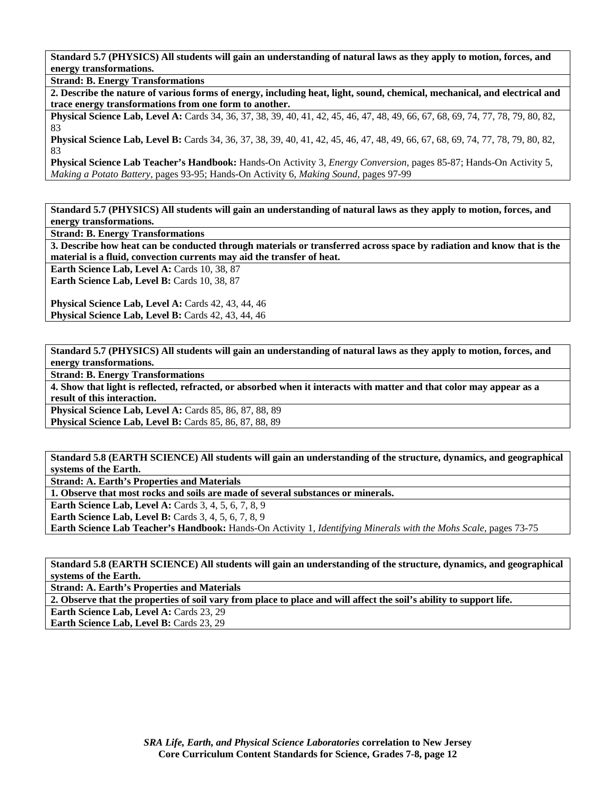**Standard 5.7 (PHYSICS) All students will gain an understanding of natural laws as they apply to motion, forces, and energy transformations.** 

**Strand: B. Energy Transformations** 

**2. Describe the nature of various forms of energy, including heat, light, sound, chemical, mechanical, and electrical and trace energy transformations from one form to another.** 

**Physical Science Lab, Level A:** Cards 34, 36, 37, 38, 39, 40, 41, 42, 45, 46, 47, 48, 49, 66, 67, 68, 69, 74, 77, 78, 79, 80, 82, 83

**Physical Science Lab, Level B:** Cards 34, 36, 37, 38, 39, 40, 41, 42, 45, 46, 47, 48, 49, 66, 67, 68, 69, 74, 77, 78, 79, 80, 82, 83

**Physical Science Lab Teacher's Handbook:** Hands-On Activity 3, *Energy Conversion,* pages 85-87; Hands-On Activity 5, *Making a Potato Battery,* pages 93-95; Hands-On Activity 6, *Making Sound,* pages 97-99

**Standard 5.7 (PHYSICS) All students will gain an understanding of natural laws as they apply to motion, forces, and energy transformations.** 

**Strand: B. Energy Transformations** 

**3. Describe how heat can be conducted through materials or transferred across space by radiation and know that is the material is a fluid, convection currents may aid the transfer of heat.** 

Earth Science Lab, Level A: Cards 10, 38, 87

Earth Science Lab, Level B: Cards 10, 38, 87

Physical Science Lab, Level A: Cards 42, 43, 44, 46 **Physical Science Lab, Level B:** Cards 42, 43, 44, 46

**Standard 5.7 (PHYSICS) All students will gain an understanding of natural laws as they apply to motion, forces, and energy transformations.** 

**Strand: B. Energy Transformations** 

**4. Show that light is reflected, refracted, or absorbed when it interacts with matter and that color may appear as a result of this interaction.** 

**Physical Science Lab, Level A: Cards 85, 86, 87, 88, 89 Physical Science Lab, Level B:** Cards 85, 86, 87, 88, 89

**Standard 5.8 (EARTH SCIENCE) All students will gain an understanding of the structure, dynamics, and geographical systems of the Earth.** 

**Strand: A. Earth's Properties and Materials** 

**1. Observe that most rocks and soils are made of several substances or minerals.** 

**Earth Science Lab, Level A: Cards 3, 4, 5, 6, 7, 8, 9** 

**Earth Science Lab, Level B:** Cards 3, 4, 5, 6, 7, 8, 9

**Earth Science Lab Teacher's Handbook:** Hands-On Activity 1, *Identifying Minerals with the Mohs Scale,* pages 73-75

**Standard 5.8 (EARTH SCIENCE) All students will gain an understanding of the structure, dynamics, and geographical systems of the Earth.** 

**Strand: A. Earth's Properties and Materials** 

**2. Observe that the properties of soil vary from place to place and will affect the soil's ability to support life.** 

Earth Science Lab, Level A: Cards 23, 29

**Earth Science Lab, Level B: Cards 23, 29**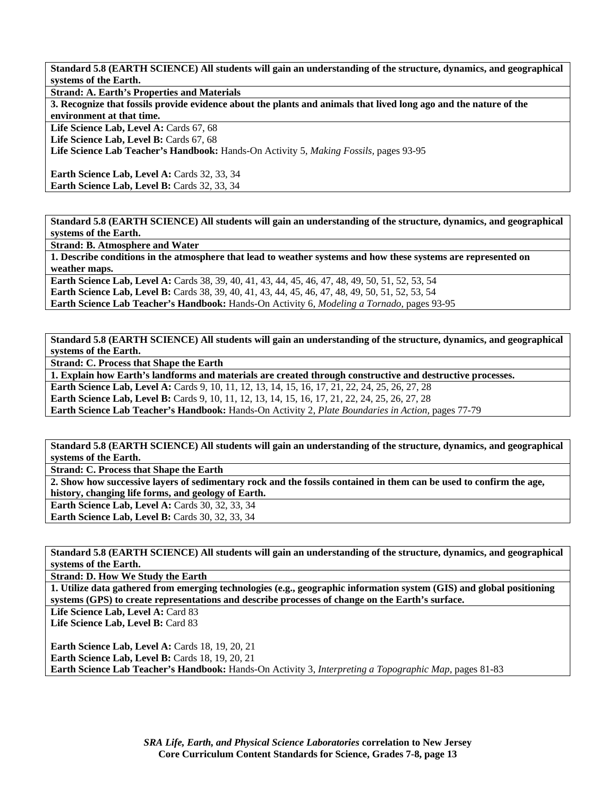**Standard 5.8 (EARTH SCIENCE) All students will gain an understanding of the structure, dynamics, and geographical systems of the Earth.** 

**Strand: A. Earth's Properties and Materials** 

**3. Recognize that fossils provide evidence about the plants and animals that lived long ago and the nature of the environment at that time.** 

Life Science Lab, Level A: Cards 67, 68

Life Science Lab, Level B: Cards 67, 68

**Life Science Lab Teacher's Handbook:** Hands-On Activity 5, *Making Fossils,* pages 93-95

**Earth Science Lab, Level A: Cards 32, 33, 34 Earth Science Lab, Level B:** Cards 32, 33, 34

**Standard 5.8 (EARTH SCIENCE) All students will gain an understanding of the structure, dynamics, and geographical systems of the Earth.** 

**Strand: B. Atmosphere and Water** 

**1. Describe conditions in the atmosphere that lead to weather systems and how these systems are represented on weather maps.** 

**Earth Science Lab, Level A:** Cards 38, 39, 40, 41, 43, 44, 45, 46, 47, 48, 49, 50, 51, 52, 53, 54 **Earth Science Lab, Level B:** Cards 38, 39, 40, 41, 43, 44, 45, 46, 47, 48, 49, 50, 51, 52, 53, 54 **Earth Science Lab Teacher's Handbook:** Hands-On Activity 6, *Modeling a Tornado,* pages 93-95

**Standard 5.8 (EARTH SCIENCE) All students will gain an understanding of the structure, dynamics, and geographical systems of the Earth.** 

**Strand: C. Process that Shape the Earth** 

**1. Explain how Earth's landforms and materials are created through constructive and destructive processes.** 

**Earth Science Lab, Level A:** Cards 9, 10, 11, 12, 13, 14, 15, 16, 17, 21, 22, 24, 25, 26, 27, 28

Earth Science Lab, Level B: Cards 9, 10, 11, 12, 13, 14, 15, 16, 17, 21, 22, 24, 25, 26, 27, 28

**Earth Science Lab Teacher's Handbook:** Hands-On Activity 2, *Plate Boundaries in Action,* pages 77-79

**Standard 5.8 (EARTH SCIENCE) All students will gain an understanding of the structure, dynamics, and geographical systems of the Earth.** 

**Strand: C. Process that Shape the Earth** 

**2. Show how successive layers of sedimentary rock and the fossils contained in them can be used to confirm the age, history, changing life forms, and geology of Earth.** 

**Earth Science Lab, Level A:** Cards 30, 32, 33, 34 **Earth Science Lab, Level B: Cards 30, 32, 33, 34** 

**Standard 5.8 (EARTH SCIENCE) All students will gain an understanding of the structure, dynamics, and geographical systems of the Earth.** 

**Strand: D. How We Study the Earth** 

**1. Utilize data gathered from emerging technologies (e.g., geographic information system (GIS) and global positioning systems (GPS) to create representations and describe processes of change on the Earth's surface.** 

Life Science Lab, Level A: Card 83 Life Science Lab, Level B: Card 83

**Earth Science Lab, Level A: Cards 18, 19, 20, 21 Earth Science Lab, Level B: Cards 18, 19, 20, 21 Earth Science Lab Teacher's Handbook:** Hands-On Activity 3, *Interpreting a Topographic Map,* pages 81-83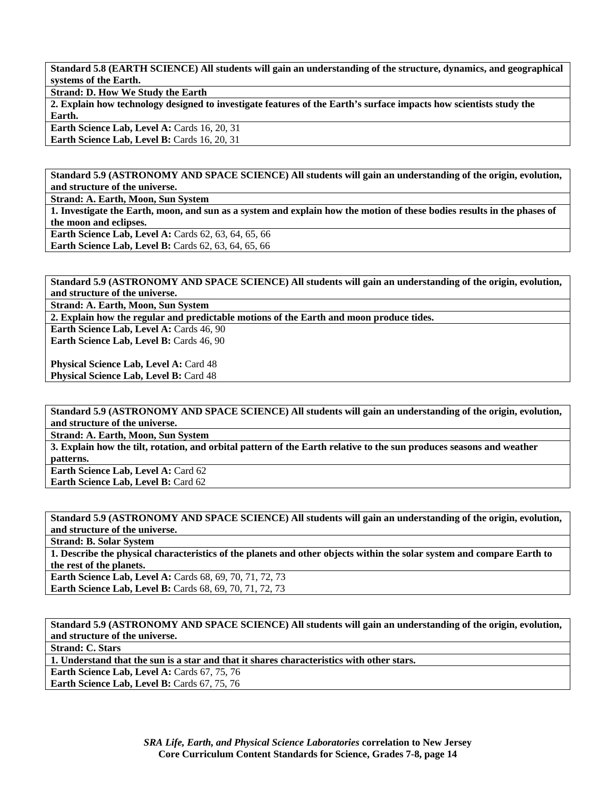**Standard 5.8 (EARTH SCIENCE) All students will gain an understanding of the structure, dynamics, and geographical systems of the Earth.** 

**Strand: D. How We Study the Earth** 

**2. Explain how technology designed to investigate features of the Earth's surface impacts how scientists study the Earth.** 

**Earth Science Lab, Level A: Cards 16, 20, 31** Earth Science Lab, Level B: Cards 16, 20, 31

**Standard 5.9 (ASTRONOMY AND SPACE SCIENCE) All students will gain an understanding of the origin, evolution, and structure of the universe.** 

**Strand: A. Earth, Moon, Sun System** 

**1. Investigate the Earth, moon, and sun as a system and explain how the motion of these bodies results in the phases of the moon and eclipses. Earth Science Lab, Level A: Cards 62, 63, 64, 65, 66** 

**Earth Science Lab, Level B:** Cards 62, 63, 64, 65, 66

**Standard 5.9 (ASTRONOMY AND SPACE SCIENCE) All students will gain an understanding of the origin, evolution, and structure of the universe.** 

**Strand: A. Earth, Moon, Sun System** 

**2. Explain how the regular and predictable motions of the Earth and moon produce tides.** 

**Earth Science Lab, Level A: Cards 46, 90** Earth Science Lab, Level B: Cards 46, 90

**Physical Science Lab, Level A: Card 48 Physical Science Lab, Level B: Card 48** 

**Standard 5.9 (ASTRONOMY AND SPACE SCIENCE) All students will gain an understanding of the origin, evolution, and structure of the universe.** 

**Strand: A. Earth, Moon, Sun System** 

**3. Explain how the tilt, rotation, and orbital pattern of the Earth relative to the sun produces seasons and weather patterns.** 

Earth Science Lab, Level A: Card 62 **Earth Science Lab, Level B: Card 62** 

**Standard 5.9 (ASTRONOMY AND SPACE SCIENCE) All students will gain an understanding of the origin, evolution, and structure of the universe.** 

**Strand: B. Solar System** 

**1. Describe the physical characteristics of the planets and other objects within the solar system and compare Earth to the rest of the planets.** 

**Earth Science Lab, Level A:** Cards 68, 69, 70, 71, 72, 73 **Earth Science Lab, Level B:** Cards 68, 69, 70, 71, 72, 73

**Standard 5.9 (ASTRONOMY AND SPACE SCIENCE) All students will gain an understanding of the origin, evolution, and structure of the universe.** 

**Strand: C. Stars** 

**1. Understand that the sun is a star and that it shares characteristics with other stars.** 

**Earth Science Lab, Level A: Cards 67, 75, 76** 

**Earth Science Lab, Level B: Cards 67, 75, 76**